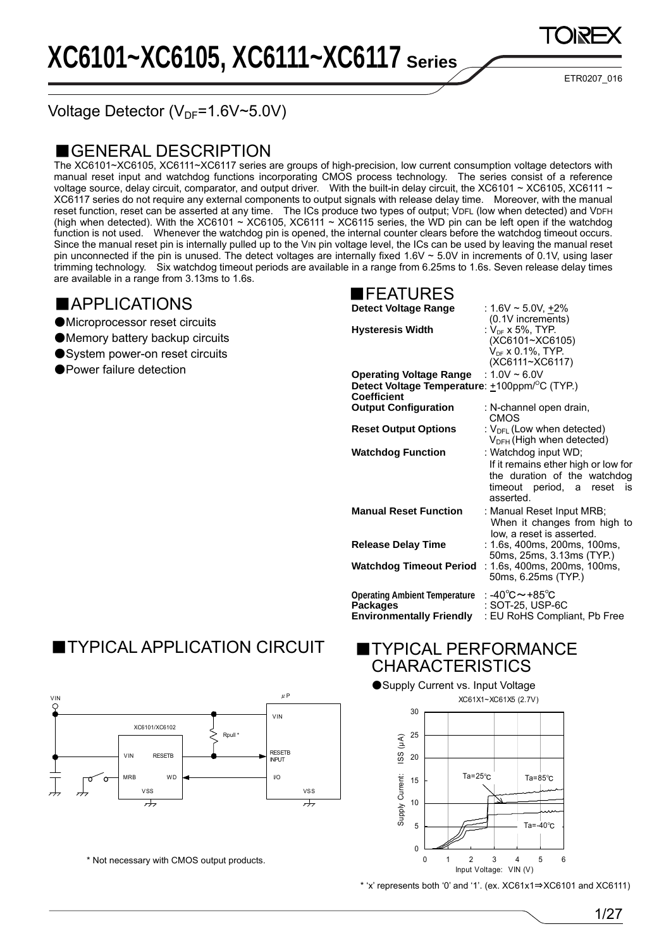ETR0207\_016

Voltage Detector ( $V_{DF}=1.6V-5.0V$ )

### ■GENERAL DESCRIPTION

The XC6101~XC6105, XC6111~XC6117 series are groups of high-precision, low current consumption voltage detectors with manual reset input and watchdog functions incorporating CMOS process technology. The series consist of a reference voltage source, delay circuit, comparator, and output driver. With the built-in delay circuit, the XC6101 ~ XC6105, XC6111 ~ XC6117 series do not require any external components to output signals with release delay time. Moreover, with the manual reset function, reset can be asserted at any time. The ICs produce two types of output; VDFL (low when detected) and VDFH (high when detected). With the XC6101 ~ XC6105, XC6111 ~ XC6115 series, the WD pin can be left open if the watchdog function is not used. Whenever the watchdog pin is opened, the internal counter clears before the watchdog timeout occurs. Since the manual reset pin is internally pulled up to the VIN pin voltage level, the ICs can be used by leaving the manual reset pin unconnected if the pin is unused. The detect voltages are internally fixed 1.6V  $\sim$  5.0V in increments of 0.1V, using laser trimming technology. Six watchdog timeout periods are available in a range from 6.25ms to 1.6s. Seven release delay times are available in a range from 3.13ms to 1.6s.

### ■APPLICATIONS

- ●Microprocessor reset circuits
- ●Memory battery backup circuits
- System power-on reset circuits
- Power failure detection

### ■FEATURES

**Detect Voltage Range** : 1.6V ~ 5.0V, +2%

| <b>Hysteresis Width</b>                                                                                            | $(0.1V$ increments)<br>: $V_{DF}$ x 5%, TYP.<br>(XC6101~XC6105)<br>$V_{DF}$ x 0.1%, TYP.<br>(XC6111~XC6117)                                   |
|--------------------------------------------------------------------------------------------------------------------|-----------------------------------------------------------------------------------------------------------------------------------------------|
| Operating Voltage Range : 1.0V ~ 6.0V<br>Detect Voltage Temperature: +100ppm/ <sup>o</sup> C (TYP.)<br>Coefficient |                                                                                                                                               |
| <b>Output Configuration</b>                                                                                        | : N-channel open drain,<br>CMOS                                                                                                               |
| <b>Reset Output Options</b>                                                                                        | : $V_{\text{DFL}}$ (Low when detected)<br>$V_{DFH}$ (High when detected)                                                                      |
| <b>Watchdog Function</b>                                                                                           | : Watchdog input WD;<br>If it remains ether high or low for<br>the duration of the watchdog<br>timeout period, a<br>reset<br>İS.<br>asserted. |
| <b>Manual Reset Function</b>                                                                                       | : Manual Reset Input MRB;<br>When it changes from high to<br>low, a reset is asserted.                                                        |
| <b>Release Delay Time</b>                                                                                          | : 1.6s, 400ms, 200ms, 100ms,<br>50ms, 25ms, 3.13ms (TYP.)                                                                                     |
| Watchdog Timeout Period                                                                                            | : 1.6s, 400ms, 200ms, 100ms,<br>50ms, 6.25ms (TYP.)                                                                                           |
| <b>Operating Ambient Temperature</b><br><b>Packages</b><br><b>Environmentally Friendly</b>                         | : -40℃~+85℃<br>: SOT-25, USP-6C<br>: EU RoHS Compliant, Pb Free                                                                               |
|                                                                                                                    |                                                                                                                                               |

## **TYPICAL APPLICATION CIRCUIT**



\* Not necessary with CMOS output products.

### **TYPICAL PERFORMANCE CHARACTERISTICS**



\* 'x' represents both '0' and '1'. (ex. XC61x1⇒XC6101 and XC6111)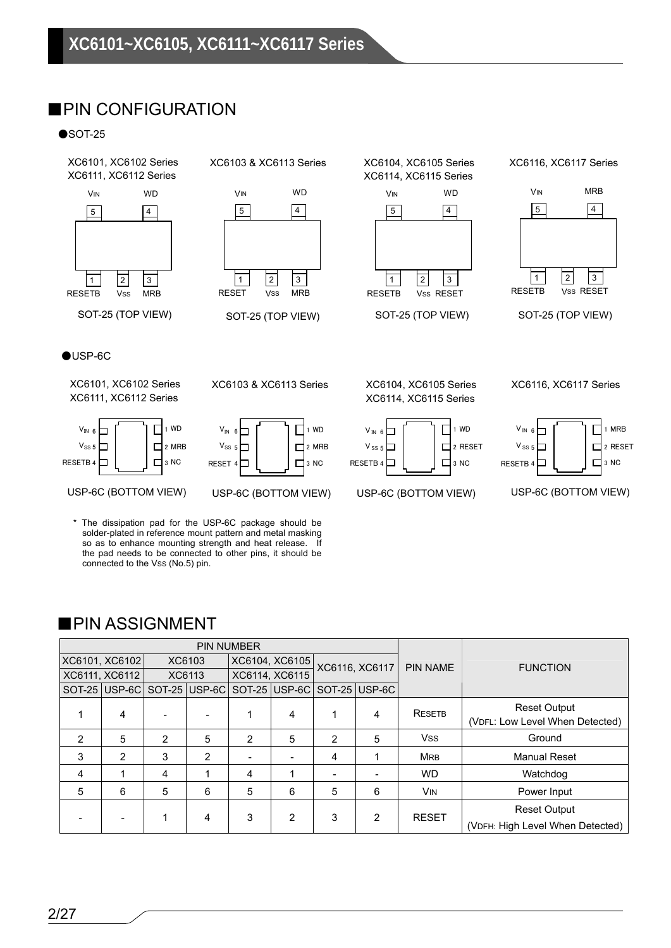### ■PIN CONFIGURATION

 $\bullet$ SOT-25



XC6103 & XC6113 Series XC6104, XC6105 Series



SOT-25 (TOP VIEW)

XC6114, XC6115 Series



SOT-25 (TOP VIEW)

#### XC6116, XC6117 Series



SOT-25 (TOP VIEW)

#### ●USP-6C

XC6101, XC6102 Series XC6111, XC6112 Series



USP-6C (BOTTOM VIEW) USP-6C (BOTTOM VIEW) USP-6C (BOTTOM VIEW) USP-6C (BOTTOM VIEW)

XC6103 & XC6113 Series XC6104, XC6105 Series



\* The dissipation pad for the USP-6C package should be solder-plated in reference mount pattern and metal masking so as to enhance mounting strength and heat release. If the pad needs to be connected to other pins, it should be connected to the Vss (No.5) pin.

XC6114, XC6115 Series



XC6116, XC6117 Series



### ■PIN ASSIGNMENT

|   | <b>PIN NUMBER</b> |   |               |   |                |                |                             |               |                                  |  |  |                 |                 |
|---|-------------------|---|---------------|---|----------------|----------------|-----------------------------|---------------|----------------------------------|--|--|-----------------|-----------------|
|   | XC6101, XC6102    |   | XC6103        |   | XC6104, XC6105 | XC6116, XC6117 |                             |               |                                  |  |  | <b>PIN NAME</b> | <b>FUNCTION</b> |
|   | XC6111, XC6112    |   | XC6113        |   | XC6114, XC6115 |                |                             |               |                                  |  |  |                 |                 |
|   | SOT-25 USP-6C     |   | SOT-25 USP-6C |   |                |                | SOT-25 USP-6C SOT-25 USP-6C |               |                                  |  |  |                 |                 |
|   |                   |   |               |   |                |                |                             | <b>RESETB</b> | <b>Reset Output</b>              |  |  |                 |                 |
|   | 4                 |   |               |   | 4              |                | 4                           |               | (VDFL: Low Level When Detected)  |  |  |                 |                 |
| 2 | 5                 | 2 | 5             | 2 | 5              | 2              | 5                           | <b>Vss</b>    | Ground                           |  |  |                 |                 |
| 3 | 2                 | 3 | 2             |   |                | 4              |                             | <b>MRB</b>    | <b>Manual Reset</b>              |  |  |                 |                 |
| 4 |                   | 4 |               | 4 |                |                |                             | <b>WD</b>     | Watchdog                         |  |  |                 |                 |
| 5 | 6                 | 5 | 6             | 5 | 6              | 5              | 6                           | <b>VIN</b>    | Power Input                      |  |  |                 |                 |
|   |                   |   |               |   |                |                |                             |               | <b>Reset Output</b>              |  |  |                 |                 |
|   |                   |   | 4             | 3 | $\overline{2}$ | 3              | 2                           | <b>RESET</b>  | (VDFH: High Level When Detected) |  |  |                 |                 |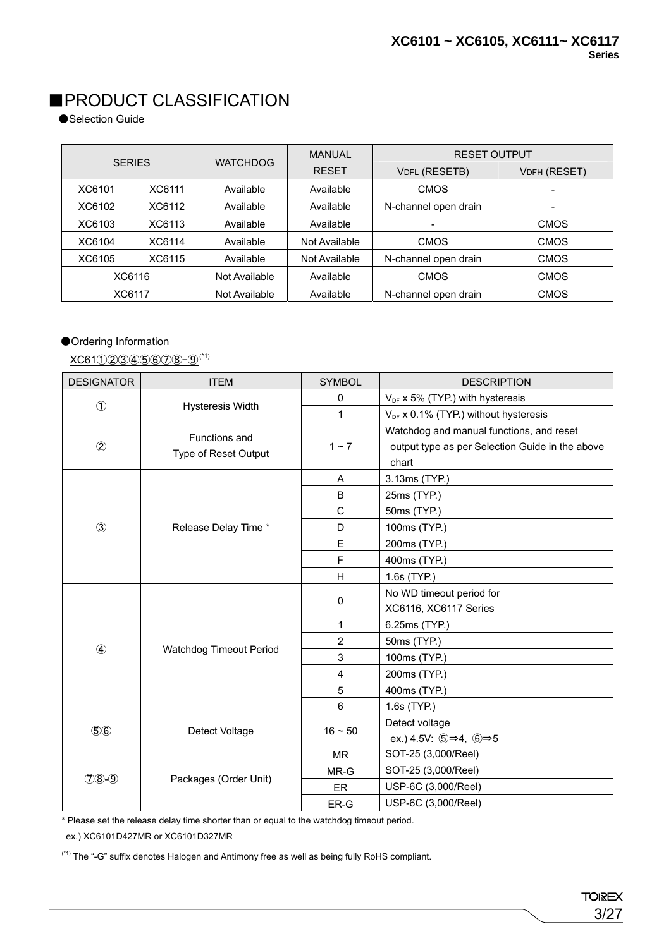### ■PRODUCT CLASSIFICATION

●Selection Guide

| <b>SERIES</b> |        |                 | MANUAL        | <b>RESET OUTPUT</b>  |              |  |
|---------------|--------|-----------------|---------------|----------------------|--------------|--|
|               |        | <b>WATCHDOG</b> | <b>RESET</b>  | <b>VDFL (RESETB)</b> | VDFH (RESET) |  |
| XC6101        | XC6111 | Available       | Available     | <b>CMOS</b>          |              |  |
| XC6102        | XC6112 | Available       | Available     | N-channel open drain |              |  |
| XC6103        | XC6113 | Available       | Available     | ۰                    | <b>CMOS</b>  |  |
| XC6104        | XC6114 | Available       | Not Available | <b>CMOS</b>          | <b>CMOS</b>  |  |
| XC6105        | XC6115 | Available       | Not Available | N-channel open drain | <b>CMOS</b>  |  |
|               | XC6116 | Not Available   | Available     | <b>CMOS</b>          | <b>CMOS</b>  |  |
|               | XC6117 | Not Available   | Available     | N-channel open drain | <b>CMOS</b>  |  |

### ●Ordering Information

XC61①②③④⑤⑥⑦⑧-⑨(\*1)

| <b>DESIGNATOR</b> | <b>ITEM</b>             | <b>SYMBOL</b>  | <b>DESCRIPTION</b>                                                           |
|-------------------|-------------------------|----------------|------------------------------------------------------------------------------|
|                   |                         | 0              | $V_{DF}$ x 5% (TYP.) with hysteresis                                         |
| $\circled{1}$     | Hysteresis Width        | 1              | $V_{DF}$ x 0.1% (TYP.) without hysteresis                                    |
|                   | Functions and           |                | Watchdog and manual functions, and reset                                     |
| $^{\circledR}$    | Type of Reset Output    | $1 - 7$        | output type as per Selection Guide in the above                              |
|                   |                         |                | chart                                                                        |
|                   |                         | Α              | 3.13ms (TYP.)                                                                |
|                   |                         | B              | 25ms (TYP.)                                                                  |
|                   |                         | C              | 50ms (TYP.)                                                                  |
| 3                 | Release Delay Time *    | D              | 100ms (TYP.)                                                                 |
|                   |                         | E              | 200ms (TYP.)                                                                 |
|                   |                         | F              | 400ms (TYP.)                                                                 |
|                   |                         | H              | 1.6s (TYP.)                                                                  |
|                   |                         | $\mathbf 0$    | No WD timeout period for                                                     |
|                   | Watchdog Timeout Period |                | XC6116, XC6117 Series                                                        |
|                   |                         | 1              | 6.25ms (TYP.)                                                                |
| $\circled{4}$     |                         | $\overline{2}$ | 50ms (TYP.)                                                                  |
|                   |                         | 3              | 100ms (TYP.)                                                                 |
|                   |                         | 4              | 200ms (TYP.)                                                                 |
|                   |                         | 5              | 400ms (TYP.)                                                                 |
|                   |                         | 6              | 1.6s (TYP.)                                                                  |
| $(5)$ $6)$        | Detect Voltage          | $16 - 50$      | Detect voltage                                                               |
|                   |                         |                | ex.) 4.5V: $\textcircled{5} \Rightarrow 4$ , $\textcircled{6} \Rightarrow 5$ |
|                   |                         | <b>MR</b>      | SOT-25 (3,000/Reel)                                                          |
| $(208-9)$         | Packages (Order Unit)   | MR-G           | SOT-25 (3,000/Reel)                                                          |
|                   |                         | ER             | USP-6C (3,000/Reel)                                                          |
|                   |                         | ER-G           | USP-6C (3,000/Reel)                                                          |

\* Please set the release delay time shorter than or equal to the watchdog timeout period.

ex.) XC6101D427MR or XC6101D327MR

(\*1) The "-G" suffix denotes Halogen and Antimony free as well as being fully RoHS compliant.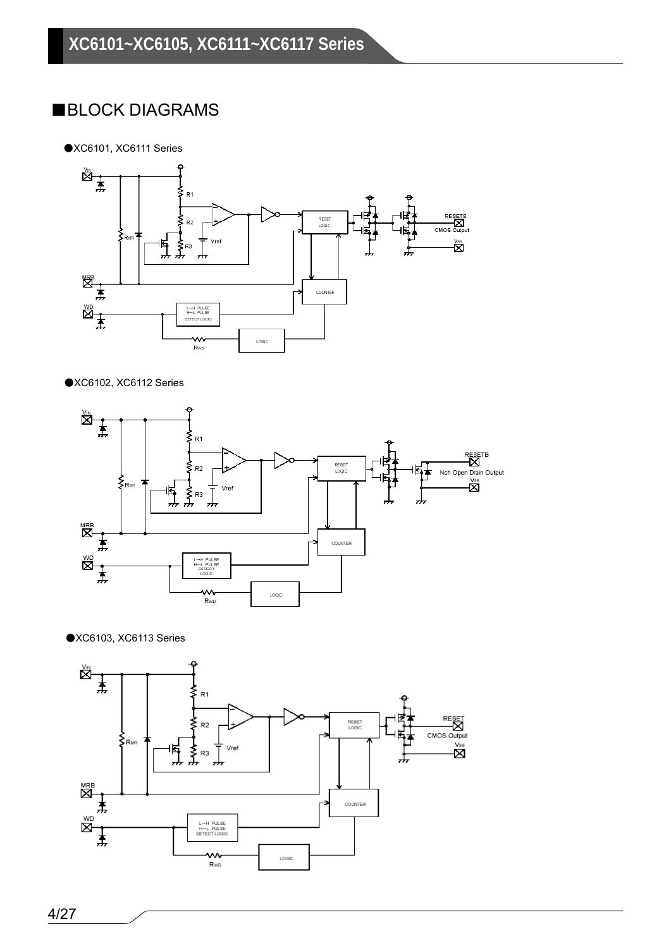### ■BLOCK DIAGRAMS

●XC6101, XC6111 Series



#### ●XC6102, XC6112 Series





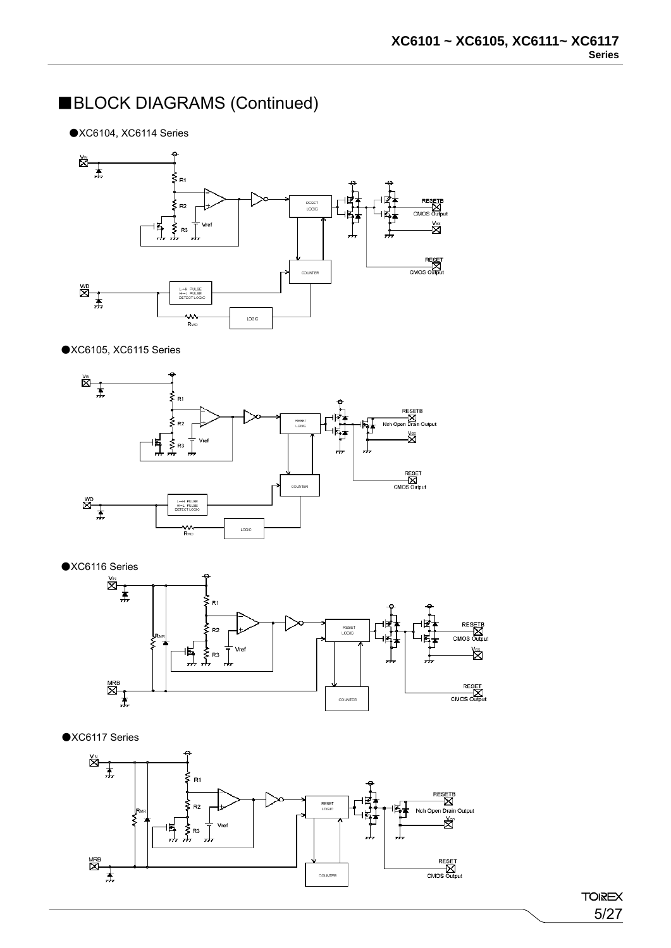### ■BLOCK DIAGRAMS (Continued)

●XC6104, XC6114 Series



#### ●XC6105, XC6115 Series



 $\bullet$ XC6116 Series  $R<sub>1</sub>$ RESETE<br>MOS Outp  $R<sub>2</sub>$ RESE<sup>T</sup><br>LOGIC CMOS ╢┫<br>╜╜╜ Vref 隐  $\begin{picture}(20,5) \put(0,0){\line(1,0){155}} \put(15,0){\line(1,0){155}} \put(15,0){\line(1,0){155}} \put(15,0){\line(1,0){155}} \put(15,0){\line(1,0){155}} \put(15,0){\line(1,0){155}} \put(15,0){\line(1,0){155}} \put(15,0){\line(1,0){155}} \put(15,0){\line(1,0){155}} \put(15,0){\line(1,0){155}} \put(15,0){\line(1,0){155}} \put$ RESET<br>CMOS Output COUNTER

●XC6117 Series

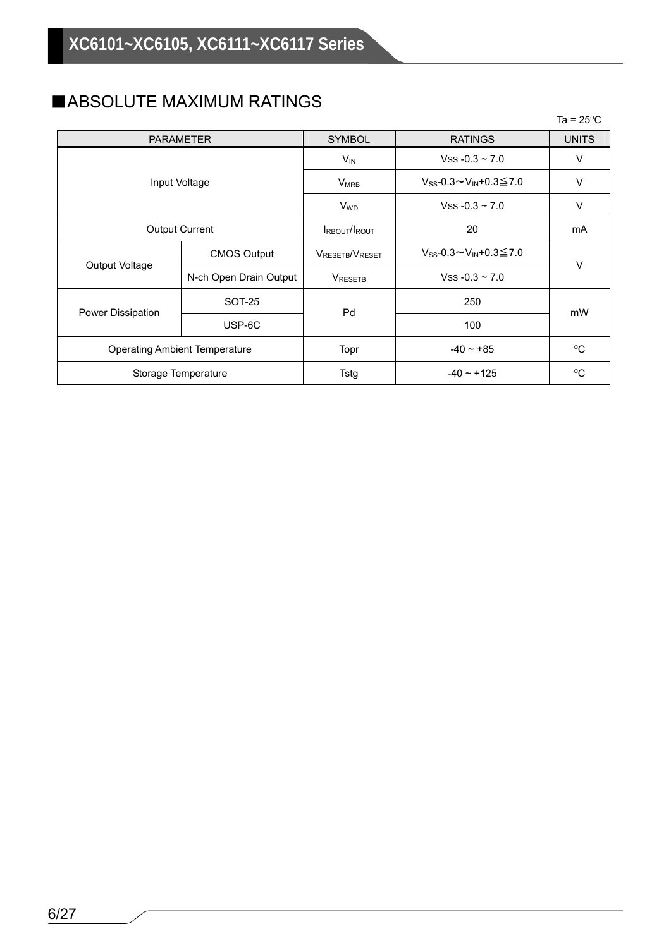### ■ABSOLUTE MAXIMUM RATINGS

|                                      |                        |                             |                                  | Ta = $25^{\circ}$ C |  |
|--------------------------------------|------------------------|-----------------------------|----------------------------------|---------------------|--|
|                                      | <b>PARAMETER</b>       | <b>SYMBOL</b>               | <b>RATINGS</b>                   | <b>UNITS</b>        |  |
|                                      |                        | $V_{IN}$                    | Vss $-0.3 \sim 7.0$              | ٧                   |  |
|                                      | Input Voltage          | $V_{MRB}$                   | $V_{SS}$ -0.3∼ $V_{IN}$ +0.3≦7.0 | V                   |  |
|                                      |                        | <b>V<sub>WD</sub></b>       | Vss $-0.3 - 7.0$                 | V                   |  |
|                                      | <b>Output Current</b>  | <b>IRBOUT/IROUT</b>         | 20                               | mA                  |  |
|                                      | <b>CMOS Output</b>     | VRESETB <sup>/V</sup> RESET | $V_{SS}$ -0.3∼ $V_{IN}$ +0.3≦7.0 | V                   |  |
| Output Voltage                       | N-ch Open Drain Output | <b>VRESETB</b>              | Vss $-0.3 \sim 7.0$              |                     |  |
|                                      | SOT-25                 | Pd                          | 250                              | mW                  |  |
| Power Dissipation                    | USP-6C                 |                             | 100                              |                     |  |
| <b>Operating Ambient Temperature</b> |                        | Topr                        | $-40 \sim +85$                   | $^{\circ}C$         |  |
|                                      | Storage Temperature    | Tstg                        | $-40 \sim +125$                  | $^{\circ}C$         |  |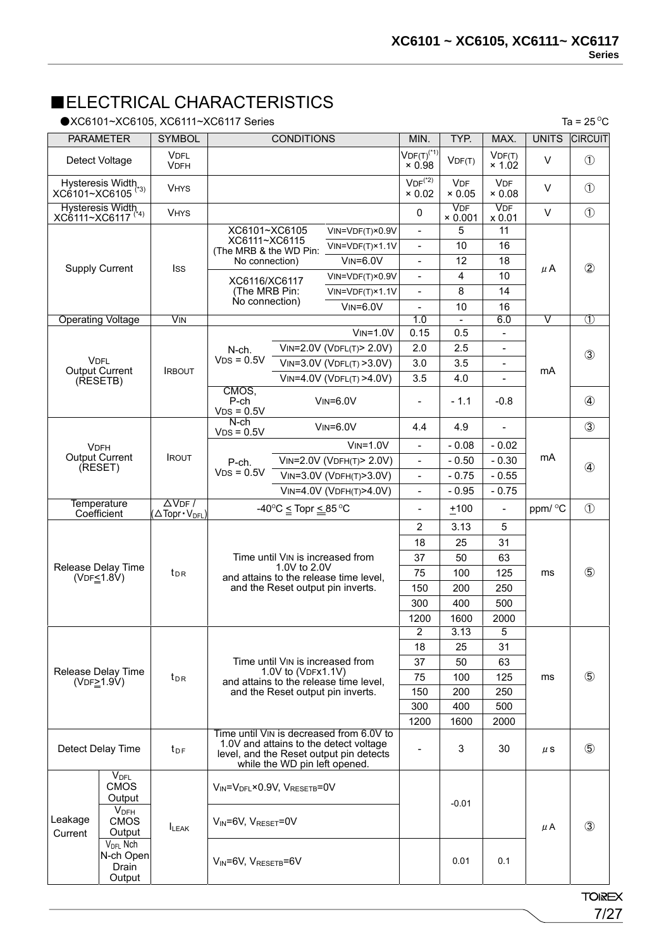### ■ELECTRICAL CHARACTERISTICS

●XC6101~XC6105, XC6111~XC6117 Series

|                                                             | <b>PARAMETER</b>                          | <b>SYMBOL</b>              |                                                                                                                                                                | <b>CONDITIONS</b>                                                   |                                                                             | MIN.                                       | TYP.                         | MAX.                            | <b>UNITS</b>  | <b>CIRCUIT</b> |
|-------------------------------------------------------------|-------------------------------------------|----------------------------|----------------------------------------------------------------------------------------------------------------------------------------------------------------|---------------------------------------------------------------------|-----------------------------------------------------------------------------|--------------------------------------------|------------------------------|---------------------------------|---------------|----------------|
| Detect Voltage                                              |                                           | <b>VDFL</b><br><b>VDFH</b> |                                                                                                                                                                |                                                                     |                                                                             | $VDF(T)^{(*1)}$<br>$\times 0.98$           | VDF(T)                       | VDF(T)<br>$\times$ 1.02         | V             | $\circled{1}$  |
| Hysteresis Width<br>XC6101~XC6105 <sup>(*3)</sup>           |                                           | <b>VHYS</b>                |                                                                                                                                                                |                                                                     |                                                                             | $VDF^{(2)}$<br>$\times 0.02$               | <b>VDF</b><br>$\times 0.05$  | <b>VDF</b><br>$\times 0.08$     | V             | $\circled{1}$  |
| Hysteresis Width<br>XC6111~XC6117 <sup>(*4)</sup>           |                                           | <b>VHYS</b>                |                                                                                                                                                                |                                                                     |                                                                             | 0                                          | <b>VDF</b><br>$\times 0.001$ | <b>VDF</b><br>x 0.01            | V             | $\circled{1}$  |
|                                                             |                                           |                            | XC6101~XC6105<br>XC6111~XC6115<br>(The MRB & the WD Pin:                                                                                                       |                                                                     | VIN=VDF(T)×0.9V<br>VIN=VDF(T)×1.1V                                          | $\overline{a}$<br>$\overline{\phantom{0}}$ | 5<br>10                      | 11<br>16                        |               |                |
| <b>Supply Current</b>                                       |                                           | <b>I</b> ss                | No connection)                                                                                                                                                 |                                                                     | $V$ <sub>IN</sub> = $6.0V$                                                  | $\overline{\phantom{0}}$                   | 12                           | 18                              | μA            | $^{\circledR}$ |
|                                                             |                                           |                            | XC6116/XC6117                                                                                                                                                  |                                                                     | VIN=VDF(T)×0.9V                                                             | $\overline{a}$                             | 4                            | 10                              |               |                |
|                                                             |                                           |                            | (The MRB Pin:<br>No connection)                                                                                                                                |                                                                     | VIN=VDF(T)×1.1V                                                             | $\qquad \qquad \blacksquare$               | 8                            | 14                              |               |                |
|                                                             |                                           |                            |                                                                                                                                                                |                                                                     | $V$ <sub>IN</sub> = $6.0V$                                                  | $\overline{a}$                             | 10                           | 16                              |               |                |
|                                                             | <b>Operating Voltage</b>                  | $\overline{\text{V}}$ IN   |                                                                                                                                                                |                                                                     | $VIN = 1.0V$                                                                | 1.0<br>0.15                                | 0.5                          | 6.0<br>$\overline{\phantom{0}}$ | V             | $\circled{1}$  |
|                                                             |                                           |                            |                                                                                                                                                                |                                                                     | VIN=2.0V (VDFL(T)> 2.0V)                                                    | 2.0                                        | 2.5                          | $\frac{1}{2}$                   |               |                |
| <b>VDFL</b>                                                 |                                           |                            | N-ch.<br>$VDS = 0.5V$                                                                                                                                          |                                                                     | $V$ IN=3.0V (VDFL(T) >3.0V)                                                 | 3.0                                        | 3.5                          | $\overline{\phantom{0}}$        |               | $\circled{3}$  |
|                                                             | <b>Output Current</b>                     | <b>IRBOUT</b>              |                                                                                                                                                                |                                                                     | VIN=4.0V (VDFL(T) >4.0V)                                                    | 3.5                                        | 4.0                          |                                 | mA            |                |
|                                                             | (RESETB)                                  |                            | CMOS,<br>P-ch<br>$VDS = 0.5V$                                                                                                                                  |                                                                     | $V$ <sub>IN</sub> = $6.0V$                                                  | L,                                         | $-1.1$                       | $-0.8$                          |               | $\circled{4}$  |
|                                                             |                                           |                            | $N$ -ch<br>$VDS = 0.5V$                                                                                                                                        |                                                                     | $V$ IN=6.0 $V$                                                              | 4.4                                        | 4.9                          |                                 |               | $\circled{3}$  |
| <b>VDFH</b>                                                 |                                           |                            |                                                                                                                                                                |                                                                     | $VIN = 1.0V$                                                                | $\overline{a}$                             | $-0.08$                      | $-0.02$                         |               |                |
|                                                             | <b>Output Current</b>                     | <b>IROUT</b>               | P-ch.                                                                                                                                                          |                                                                     | VIN=2.0V (VDFH(T)> 2.0V)                                                    | $\overline{a}$                             | $-0.50$                      | $-0.30$                         | mA            | $\circled{4}$  |
| (RESET)                                                     |                                           |                            | $VDS = 0.5V$                                                                                                                                                   |                                                                     | VIN=3.0V (VDFH(T)>3.0V)                                                     | $\overline{\phantom{0}}$                   | $-0.75$                      | $-0.55$                         |               |                |
|                                                             |                                           |                            |                                                                                                                                                                |                                                                     | VIN=4.0V (VDFH(T)>4.0V)                                                     | $\overline{a}$                             | $-0.95$                      | $-0.75$                         |               |                |
|                                                             | <b>Temperature</b>                        | $\Delta$ VDF /             |                                                                                                                                                                | -40 $\mathrm{^{\circ}C}$ $\leq$ Topr $\leq$ 85 $\mathrm{^{\circ}C}$ |                                                                             | $\qquad \qquad \blacksquare$               | $+100$                       | $\overline{\phantom{0}}$        | ppm/ °C       | $\circled{1}$  |
|                                                             | Coefficient                               | ATopr · V <sub>DFL</sub> ) |                                                                                                                                                                |                                                                     |                                                                             | $\overline{2}$                             | 3.13                         | 5                               |               |                |
|                                                             |                                           |                            |                                                                                                                                                                |                                                                     |                                                                             |                                            | 25                           | 31                              |               |                |
|                                                             |                                           |                            |                                                                                                                                                                | Time until VIN is increased from                                    |                                                                             | 18<br>37                                   | 50                           | 63                              |               |                |
|                                                             | Release Delay Time                        | $t_{DR}$                   | 1.0V to 2.0V<br>and attains to the release time level,<br>and the Reset output pin inverts.                                                                    |                                                                     | 75                                                                          | 100                                        | 125                          | ms                              | $\circledS$   |                |
| (VDF <sub>1.8V</sub> )                                      |                                           |                            |                                                                                                                                                                |                                                                     | 150                                                                         | 200                                        | 250                          |                                 |               |                |
|                                                             |                                           |                            |                                                                                                                                                                |                                                                     | 300                                                                         |                                            | 500                          |                                 |               |                |
|                                                             |                                           |                            |                                                                                                                                                                |                                                                     |                                                                             | 400                                        | 2000                         |                                 |               |                |
|                                                             |                                           |                            |                                                                                                                                                                |                                                                     |                                                                             | 1200<br>$\overline{2}$                     | 1600<br>3.13                 | 5                               |               |                |
|                                                             |                                           |                            |                                                                                                                                                                |                                                                     |                                                                             | 18                                         | 25                           | 31                              |               |                |
|                                                             |                                           |                            |                                                                                                                                                                |                                                                     | Time until VIN is increased from                                            | 37                                         | 50                           | 63                              |               |                |
|                                                             | Release Delay Time                        | $t_{DR}$                   |                                                                                                                                                                | 1.0V to (VDFx1.1V)                                                  |                                                                             | 75                                         | 100                          | 125                             | ms            | $\circledS$    |
| (VDF <sub>2</sub> 1.9V)                                     |                                           |                            |                                                                                                                                                                |                                                                     | and attains to the release time level,<br>and the Reset output pin inverts. | 150                                        | 200                          | 250                             |               |                |
|                                                             |                                           |                            |                                                                                                                                                                |                                                                     |                                                                             | 300                                        | 400                          | 500                             |               |                |
|                                                             |                                           |                            |                                                                                                                                                                |                                                                     |                                                                             | 1200                                       | 1600                         | 2000                            |               |                |
| Detect Delay Time                                           |                                           | t <sub>DF</sub>            | Time until VIN is decreased from 6.0V to<br>1.0V and attains to the detect voltage<br>level, and the Reset output pin detects<br>while the WD pin left opened. |                                                                     |                                                                             | 3                                          | 30                           | $\mu$ S                         | $\circledS$   |                |
|                                                             | $V_{\text{DFL}}$<br><b>CMOS</b><br>Output |                            | $V_{IN} = V_{DFL} \times 0.9 V$ , $V_{RESETB} = 0 V$                                                                                                           |                                                                     |                                                                             |                                            | $-0.01$                      |                                 |               |                |
| Leakage<br>Current                                          | V <sub>DFH</sub><br><b>CMOS</b><br>Output | <b>ILEAK</b>               | $V_{IN} = 6V$ , $V_{RESET} = 0V$                                                                                                                               |                                                                     |                                                                             |                                            |                              | μA                              | $\circled{3}$ |                |
| V <sub>DFL</sub> Nch<br>N-ch Open<br><b>Drain</b><br>Output |                                           |                            | $V_{IN} = 6V$ , $V_{RESETB} = 6V$                                                                                                                              |                                                                     |                                                                             |                                            | 0.01                         | 0.1                             |               |                |

**TOIREX** 7/27

Ta =  $25^{\circ}$ C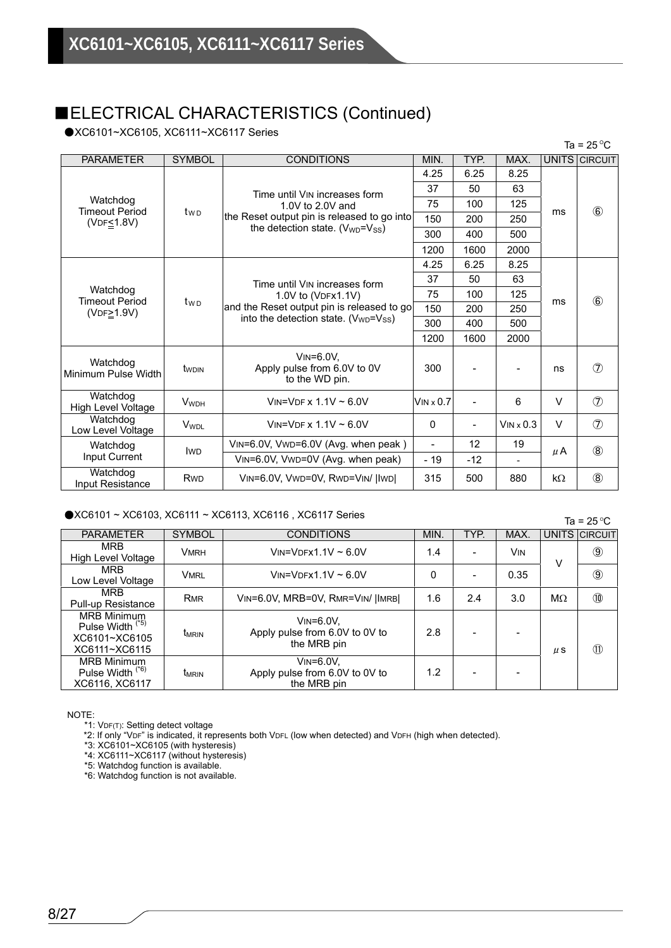### ■ELECTRICAL CHARACTERISTICS (Continued)

●XC6101~XC6105, XC6111~XC6117 Series

|                                   |                         |                                                                               |                |                          |              |        | Ta = 25 $\mathrm{^{\circ}C}$ |
|-----------------------------------|-------------------------|-------------------------------------------------------------------------------|----------------|--------------------------|--------------|--------|------------------------------|
| <b>PARAMETER</b>                  | <b>SYMBOL</b>           | <b>CONDITIONS</b>                                                             | MIN.           | TYP.                     | MAX.         |        | UNITS CIRCUIT                |
|                                   |                         |                                                                               | 4.25           | 6.25                     | 8.25         |        |                              |
|                                   |                         | Time until VIN increases form                                                 | 37             | 50                       | 63           |        |                              |
| Watchdog<br><b>Timeout Period</b> |                         | 1.0V to 2.0V and                                                              | 75             | 100                      | 125          | ms     | $\circledast$                |
| $(VDF \leq 1.8V)$                 | t <sub>w D</sub>        | the Reset output pin is released to go into                                   | 150            | 200                      | 250          |        |                              |
|                                   |                         | the detection state. $(V_{WD} = V_{SS})$                                      | 300            | 400                      | 500          |        |                              |
|                                   |                         |                                                                               | 1200           | 1600                     | 2000         |        |                              |
|                                   |                         |                                                                               | 4.25           | 6.25                     | 8.25         |        |                              |
|                                   | t <sub>wp</sub>         | Time until VIN increases form                                                 | 37             | 50                       | 63           | ms     | $\circled{6}$                |
| Watchdog<br><b>Timeout Period</b> |                         | 1.0V to (VDFx1.1V)<br>and the Reset output pin is released to go              | 75             | 100                      | 125          |        |                              |
| (VDF <sub>2</sub> 1.9V)           |                         |                                                                               | 150            | 200                      | 250          |        |                              |
|                                   |                         | into the detection state. $(V_{WD} = V_{SS})$                                 | 300            | 400                      | 500          |        |                              |
|                                   |                         |                                                                               | 1200           | 1600                     | 2000         |        |                              |
| Watchdog<br>Minimum Pulse Width   | twoin                   | $V$ <sub>IN</sub> = $6.0V$ .<br>Apply pulse from 6.0V to 0V<br>to the WD pin. | 300            |                          |              | ns     | $\circled7$                  |
| Watchdog<br>High Level Voltage    | <b>V</b> <sub>WDH</sub> | VIN=VDE x $1.1V \approx 6.0V$                                                 | $V$ IN x 0.7   |                          | 6            | $\vee$ | $\circledcirc$               |
| Watchdog<br>Low Level Voltage     | <b>V</b> <sub>WDL</sub> | VIN=VDF x $1.1V \sim 6.0V$                                                    | 0              | $\overline{\phantom{0}}$ | $V$ IN x 0.3 | $\vee$ | $\circledcirc$               |
| Watchdog                          | <b>IWD</b>              | VIN=6.0V, VWD=6.0V (Avg. when peak)                                           | $\blacksquare$ | 12                       | 19           |        | $\circledR$                  |
| Input Current                     |                         | VIN=6.0V, VWD=0V (Avg. when peak)                                             | $-19$          | $-12$                    |              | μA     |                              |
| Watchdog<br>Input Resistance      | Rw <sub>D</sub>         | VIN=6.0V, VWD=0V, RWD=VIN/   IWD                                              | 315            | 500                      | 880          | kΩ     | $\circledR$                  |

#### ●XC6101 ~ XC6103, XC6111 ~ XC6113, XC6116, XC6117 Series

 $Ta = 250C$ 

|                                                                                     |                          |                                                                               |      |                          |      |           | ں دے – م       |
|-------------------------------------------------------------------------------------|--------------------------|-------------------------------------------------------------------------------|------|--------------------------|------|-----------|----------------|
| <b>PARAMETER</b>                                                                    | <b>SYMBOL</b>            | <b>CONDITIONS</b>                                                             | MIN. | TYP.                     | MAX. |           | UNITS CIRCUIT  |
| <b>MRB</b><br>High Level Voltage                                                    | <b>VMRH</b>              | $V$ IN= $V$ DFX1.1V ~ 6.0V                                                    | 1.4  |                          | Vin  | ν         | $\circled{9}$  |
| <b>MRB</b><br>Low Level Voltage                                                     | <b>VMRL</b>              | $V$ IN= $V$ DFX1.1 $V \sim 6.0 V$                                             | 0    |                          | 0.35 |           | $\circledcirc$ |
| <b>MRB</b><br>Pull-up Resistance                                                    | <b>RMR</b>               | VIN=6.0V, MRB=0V, RMR=VIN/  IMRB                                              | 1.6  | 2.4                      | 3.0  | $M\Omega$ | 10             |
| <b>MRB Minimum</b><br>Pulse Width <sup>(*5)</sup><br>XC6101~XC6105<br>XC6111~XC6115 | <b>T</b> <sub>MRIN</sub> | $V$ <sub>IN</sub> = $6.0V$ ,<br>Apply pulse from 6.0V to 0V to<br>the MRB pin | 2.8  |                          |      | $\mu$ S   | $\circled{1}$  |
| <b>MRB Minimum</b><br>Pulse Width <sup>(*6)</sup><br>XC6116, XC6117                 | <b>T</b> <sub>MRIN</sub> | $V$ <sub>IN</sub> = $6.0V$ ,<br>Apply pulse from 6.0V to 0V to<br>the MRB pin | 1.2  | $\overline{\phantom{0}}$ |      |           |                |

NOTE:

\*1: VDF(T): Setting detect voltage

\*2: If only "VDF" is indicated, it represents both VDFL (low when detected) and VDFH (high when detected).

\*3: XC6101~XC6105 (with hysteresis)

\*4: XC6111~XC6117 (without hysteresis)

\*5: Watchdog function is available.

\*6: Watchdog function is not available.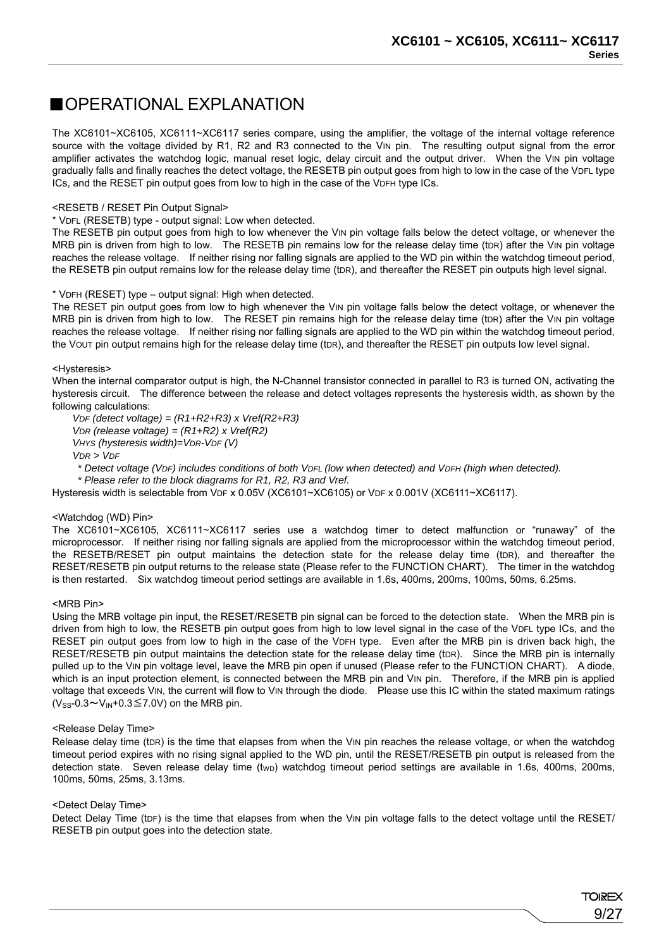### ■OPERATIONAL EXPLANATION

The XC6101~XC6105, XC6111~XC6117 series compare, using the amplifier, the voltage of the internal voltage reference source with the voltage divided by R1, R2 and R3 connected to the V<sub>IN</sub> pin. The resulting output signal from the error amplifier activates the watchdog logic, manual reset logic, delay circuit and the output driver. When the VIN pin voltage gradually falls and finally reaches the detect voltage, the RESETB pin output goes from high to low in the case of the VDFL type ICs, and the RESET pin output goes from low to high in the case of the VDFH type ICs.

#### <RESETB / RESET Pin Output Signal>

#### \* VDFL (RESETB) type - output signal: Low when detected.

The RESETB pin output goes from high to low whenever the VIN pin voltage falls below the detect voltage, or whenever the MRB pin is driven from high to low. The RESETB pin remains low for the release delay time (tDR) after the VIN pin voltage reaches the release voltage. If neither rising nor falling signals are applied to the WD pin within the watchdog timeout period, the RESETB pin output remains low for the release delay time (tDR), and thereafter the RESET pin outputs high level signal.

#### \* VDFH (RESET) type – output signal: High when detected.

The RESET pin output goes from low to high whenever the VIN pin voltage falls below the detect voltage, or whenever the MRB pin is driven from high to low. The RESET pin remains high for the release delay time (tDR) after the VIN pin voltage reaches the release voltage. If neither rising nor falling signals are applied to the WD pin within the watchdog timeout period, the VOUT pin output remains high for the release delay time (tDR), and thereafter the RESET pin outputs low level signal.

#### <Hysteresis>

When the internal comparator output is high, the N-Channel transistor connected in parallel to R3 is turned ON, activating the hysteresis circuit. The difference between the release and detect voltages represents the hysteresis width, as shown by the following calculations:

*VDF (detect voltage) = (R1+R2+R3) x Vref(R2+R3) VDR (release voltage) = (R1+R2) x Vref(R2) VHYS (hysteresis width)=VDR-VDF (V) VDR > VDF*

 *\* Detect voltage (VDF) includes conditions of both VDFL (low when detected) and VDFH (high when detected).* 

 *\* Please refer to the block diagrams for R1, R2, R3 and Vref.* 

Hysteresis width is selectable from VDF x 0.05V (XC6101~XC6105) or VDF x 0.001V (XC6111~XC6117).

#### <Watchdog (WD) Pin>

The XC6101~XC6105, XC6111~XC6117 series use a watchdog timer to detect malfunction or "runaway" of the microprocessor. If neither rising nor falling signals are applied from the microprocessor within the watchdog timeout period, the RESETB/RESET pin output maintains the detection state for the release delay time (tDR), and thereafter the RESET/RESETB pin output returns to the release state (Please refer to the FUNCTION CHART). The timer in the watchdog is then restarted. Six watchdog timeout period settings are available in 1.6s, 400ms, 200ms, 100ms, 50ms, 6.25ms.

#### <MRB Pin>

Using the MRB voltage pin input, the RESET/RESETB pin signal can be forced to the detection state. When the MRB pin is driven from high to low, the RESETB pin output goes from high to low level signal in the case of the VDFL type ICs, and the RESET pin output goes from low to high in the case of the VDFH type. Even after the MRB pin is driven back high, the RESET/RESETB pin output maintains the detection state for the release delay time (tDR). Since the MRB pin is internally pulled up to the VIN pin voltage level, leave the MRB pin open if unused (Please refer to the FUNCTION CHART). A diode, which is an input protection element, is connected between the MRB pin and VIN pin. Therefore, if the MRB pin is applied voltage that exceeds VIN, the current will flow to VIN through the diode. Please use this IC within the stated maximum ratings  $(V_{SS}$ -0.3~ $V_{IN}$ +0.3 $\leq$ 7.0V) on the MRB pin.

#### <Release Delay Time>

Release delay time (tDR) is the time that elapses from when the VIN pin reaches the release voltage, or when the watchdog timeout period expires with no rising signal applied to the WD pin, until the RESET/RESETB pin output is released from the detection state. Seven release delay time  $(t_{WD})$  watchdog timeout period settings are available in 1.6s, 400ms, 200ms, 100ms, 50ms, 25ms, 3.13ms.

#### <Detect Delay Time>

Detect Delay Time (tDF) is the time that elapses from when the VIN pin voltage falls to the detect voltage until the RESET/ RESETB pin output goes into the detection state.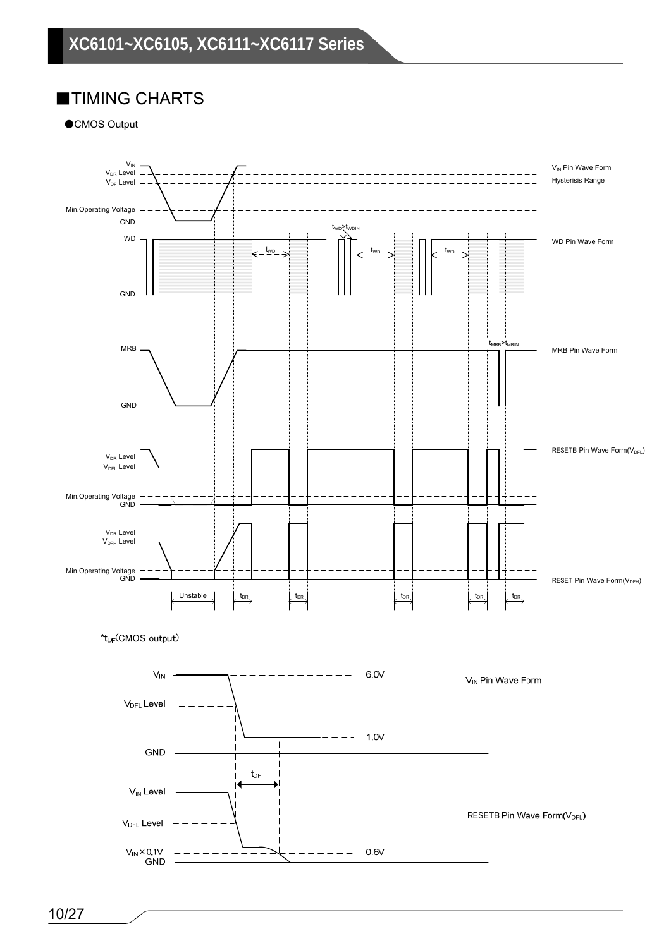### ■TIMING CHARTS

●CMOS Output

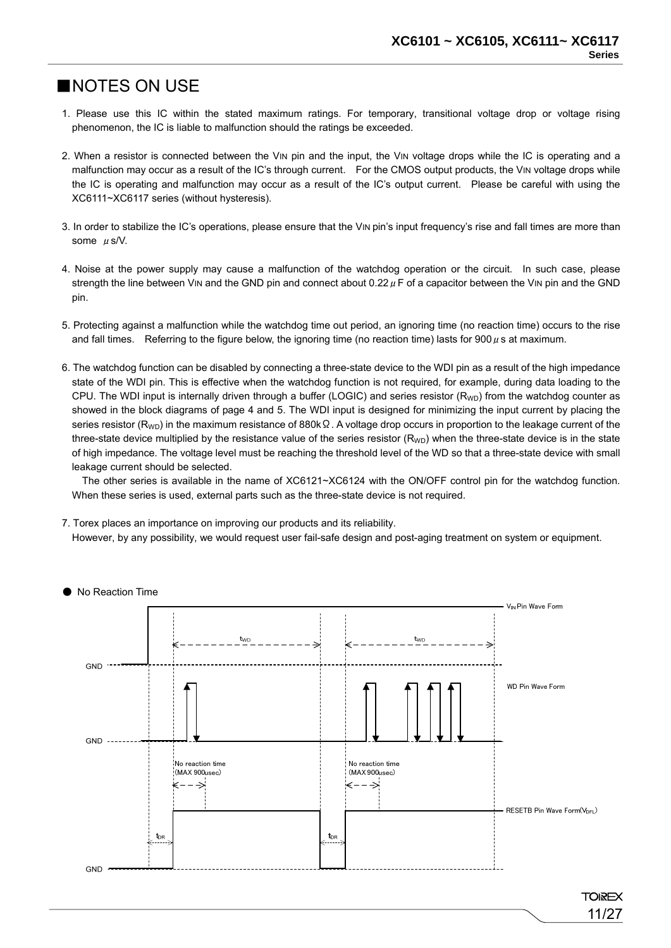### ■NOTES ON USE

- 1. Please use this IC within the stated maximum ratings. For temporary, transitional voltage drop or voltage rising phenomenon, the IC is liable to malfunction should the ratings be exceeded.
- 2. When a resistor is connected between the VIN pin and the input, the VIN voltage drops while the IC is operating and a malfunction may occur as a result of the IC's through current. For the CMOS output products, the VIN voltage drops while the IC is operating and malfunction may occur as a result of the IC's output current. Please be careful with using the XC6111~XC6117 series (without hysteresis).
- 3. In order to stabilize the IC's operations, please ensure that the VIN pin's input frequency's rise and fall times are more than some  $\mu$  s/V.
- 4. Noise at the power supply may cause a malfunction of the watchdog operation or the circuit. In such case, please strength the line between VIN and the GND pin and connect about 0.22  $\mu$  F of a capacitor between the VIN pin and the GND pin.
- 5. Protecting against a malfunction while the watchdog time out period, an ignoring time (no reaction time) occurs to the rise and fall times. Referring to the figure below, the ignoring time (no reaction time) lasts for  $900 \mu$  s at maximum.
- 6. The watchdog function can be disabled by connecting a three-state device to the WDI pin as a result of the high impedance state of the WDI pin. This is effective when the watchdog function is not required, for example, during data loading to the CPU. The WDI input is internally driven through a buffer (LOGIC) and series resistor  $(R_{WD})$  from the watchdog counter as showed in the block diagrams of page 4 and 5. The WDI input is designed for minimizing the input current by placing the series resistor (R<sub>WD</sub>) in the maximum resistance of 880k $\Omega$ . A voltage drop occurs in proportion to the leakage current of the three-state device multiplied by the resistance value of the series resistor  $(R_{WD})$  when the three-state device is in the state of high impedance. The voltage level must be reaching the threshold level of the WD so that a three-state device with small leakage current should be selected.

 The other series is available in the name of XC6121~XC6124 with the ON/OFF control pin for the watchdog function. When these series is used, external parts such as the three-state device is not required.

7. Torex places an importance on improving our products and its reliability.

However, by any possibility, we would request user fail-safe design and post-aging treatment on system or equipment.





**TOIREX** 11/27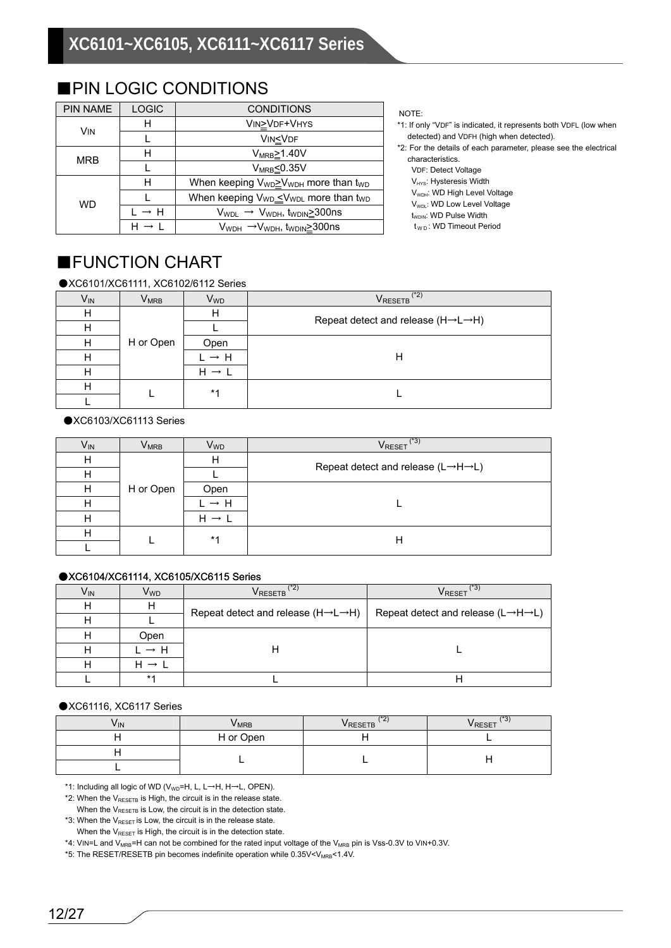| <b>PIN NAME</b> | <b>LOGIC</b>                | <b>CONDITIONS</b>                                                        |
|-----------------|-----------------------------|--------------------------------------------------------------------------|
| <b>VIN</b>      | н                           | VIN>VDF+VHYS                                                             |
|                 |                             | VIN <vdf< td=""></vdf<>                                                  |
| MRB             | н                           | $V_{MRB} \ge 1.40V$                                                      |
|                 |                             | $V_{MRB} \leq 0.35V$                                                     |
|                 | н                           | When keeping V <sub>WD</sub> ≥V <sub>WDH</sub> more than t <sub>WD</sub> |
| <b>WD</b>       |                             | When keeping V <sub>WD</sub> _V <sub>WDL</sub> more than t <sub>WD</sub> |
|                 | $\vdash \rightarrow \vdash$ | $V_{WDL} \rightarrow V_{WDH}$ , t <sub>WDIN</sub> $\geq$ 300ns           |
|                 |                             | V <sub>WDH</sub> →V <sub>WDH</sub> , t <sub>WDIN</sub> ≥300ns            |

### ■PIN LOGIC CONDITIONS

#### NOTE:

- \*1: If only "VDF" is indicated, it represents both VDFL (low when detected) and VDFH (high when detected).
- \*2: For the details of each parameter, please see the electrical characteristics.

VDF: Detect Voltage

- $V_{HYS}$ : Hysteresis Width
- V<sub>WDH</sub>: WD High Level Voltage
- V<sub>WDL</sub>: WD Low Level Voltage
- $t_{WDIN}$ : WD Pulse Width
- t<sub>WD</sub>: WD Timeout Period

### ■FUNCTION CHART

●XC6101/XC61111, XC6102/6112 Series

| V <sub>IN</sub> | $\mathsf{V}_{\mathsf{MRB}}$ | <b>V<sub>WD</sub></b> | $(*2)$<br><b>V</b> RESETB                                   |  |  |
|-----------------|-----------------------------|-----------------------|-------------------------------------------------------------|--|--|
| Н               |                             | н                     |                                                             |  |  |
| H               |                             |                       | Repeat detect and release $(H \rightarrow L \rightarrow H)$ |  |  |
| H               | H or Open                   | Open                  |                                                             |  |  |
| н               | $\rightarrow$ H             | Н                     |                                                             |  |  |
| н               |                             | н                     |                                                             |  |  |
| н               |                             | $*1$                  |                                                             |  |  |
|                 |                             |                       |                                                             |  |  |

#### ●XC6103/XC61113 Series

| V <sub>IN</sub> | $\mathsf{V}_{\mathsf{MRB}}$ | V <sub>WD</sub> | (*3)<br>V <sub>RESET</sub>                                  |  |  |
|-----------------|-----------------------------|-----------------|-------------------------------------------------------------|--|--|
| H               |                             | н               |                                                             |  |  |
| H               |                             |                 | Repeat detect and release $(L \rightarrow H \rightarrow L)$ |  |  |
| Н               | H or Open                   | Open            |                                                             |  |  |
| H               |                             | $\rightarrow$ H |                                                             |  |  |
| H               |                             | H               |                                                             |  |  |
| H               |                             | $*1$            | Н                                                           |  |  |
|                 |                             |                 |                                                             |  |  |

#### ●XC6104/XC61114, XC6105/XC6115 Series

| V <sub>IN</sub> | V <sub>WD</sub> | $(*2)$<br>$\mathsf{V}_{\mathsf{RESETB}}$ $\mathsf{\check{\ } }$                                                               | 43,<br><b>V</b> RESET |
|-----------------|-----------------|-------------------------------------------------------------------------------------------------------------------------------|-----------------------|
| н               | н               | Repeat detect and release (H $\rightarrow$ L $\rightarrow$ H)   Repeat detect and release (L $\rightarrow$ H $\rightarrow$ L) |                       |
| н               |                 |                                                                                                                               |                       |
| н               | Open            |                                                                                                                               |                       |
| н               | → H             |                                                                                                                               |                       |
|                 |                 |                                                                                                                               |                       |
|                 | $*1$            |                                                                                                                               |                       |

#### ●XC61116, XC6117 Series

| Vın | <b>V</b> MRB | $1 + n$<br>£<br>VRESETB | $1 + 0$<br>O,<br><b>VRESET</b> |
|-----|--------------|-------------------------|--------------------------------|
|     | H or Open    |                         |                                |
|     |              |                         |                                |
|     |              |                         |                                |

\*1: Including all logic of WD ( $V_{WD}$ =H, L, L→H, H→L, OPEN).

 $*2$ : When the V<sub>RESETB</sub> is High, the circuit is in the release state.

When the  $V_{\text{RESETB}}$  is Low, the circuit is in the detection state.

\*3: When the  $V_{\text{RESET}}$  is Low, the circuit is in the release state.

When the  $V_{\text{RESET}}$  is High, the circuit is in the detection state.

\*4: VIN=L and V<sub>MRB</sub>=H can not be combined for the rated input voltage of the V<sub>MRB</sub> pin is Vss-0.3V to VIN+0.3V.

\*5: The RESET/RESETB pin becomes indefinite operation while 0.35V<V<sub>MRB</sub><1.4V.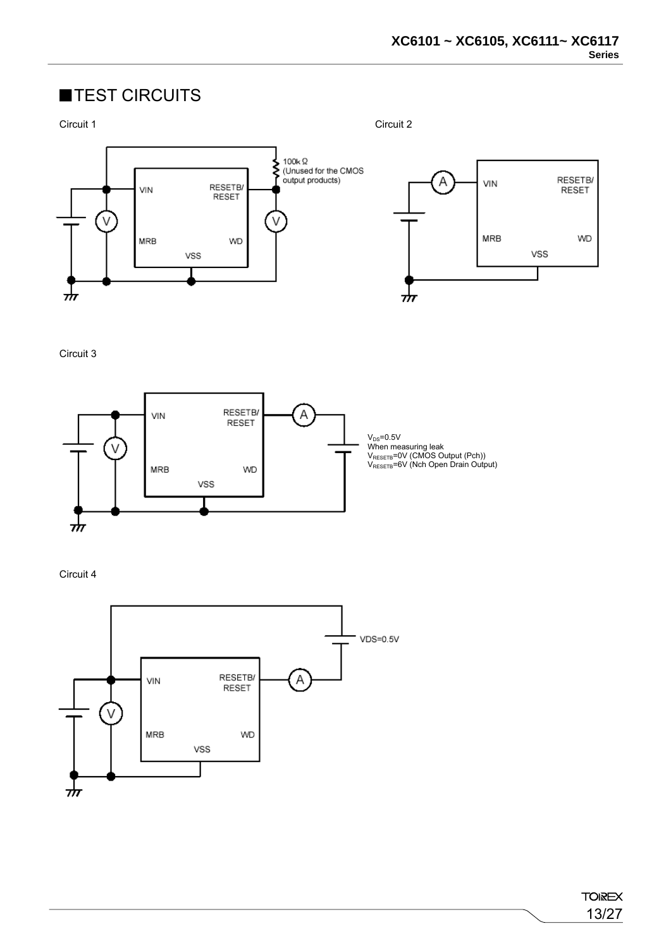### ■TEST CIRCUITS



Circuit 3



Circuit 4



**TOIREX** 13/27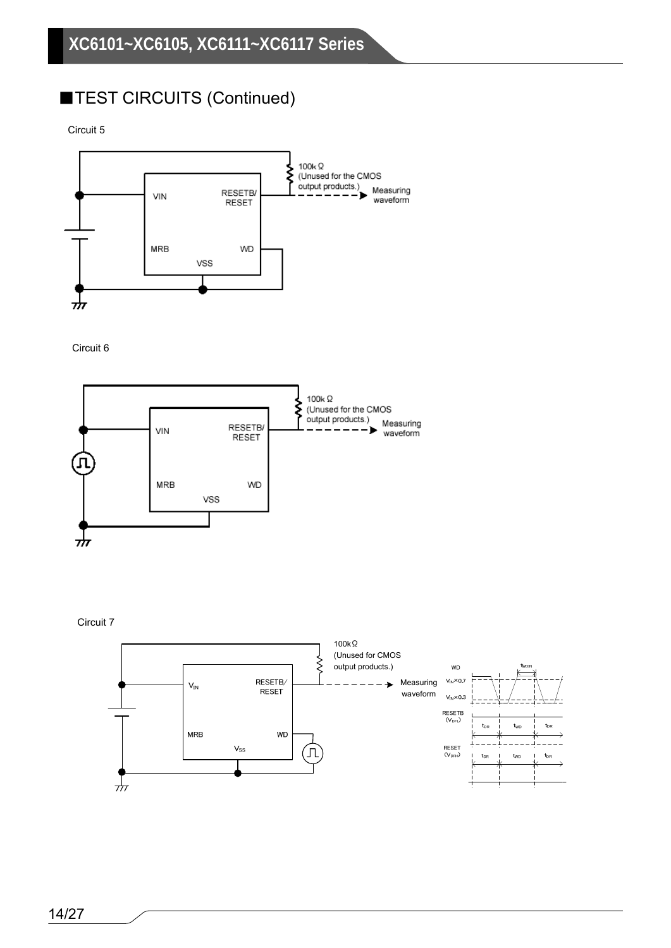### ■TEST CIRCUITS (Continued)

Circuit 5



Circuit 6





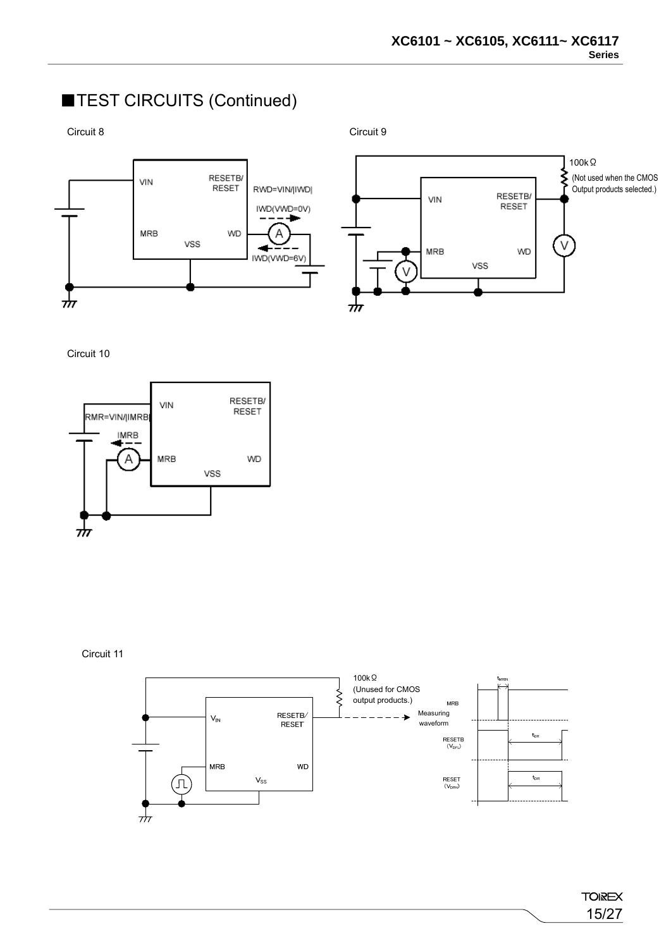### ■TEST CIRCUITS (Continued)

Circuit 8 Circuit 9





Circuit 10



Circuit 11

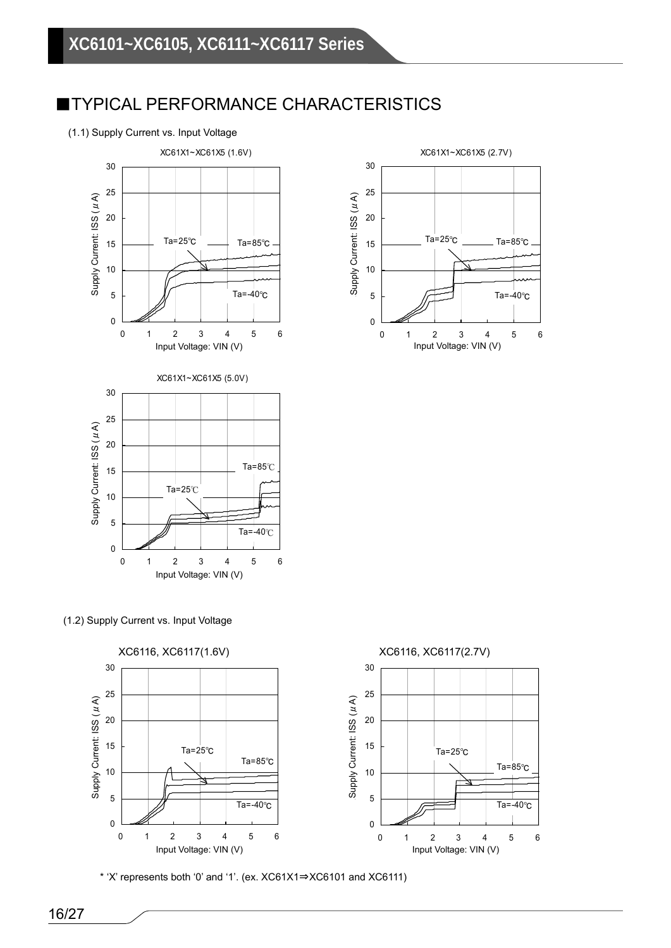### ■TYPICAL PERFORMANCE CHARACTERISTICS

#### (1.1) Supply Current vs. Input Voltage



(1.2) Supply Current vs. Input Voltage



\* 'X' represents both '0' and '1'. (ex. XC61X1⇒XC6101 and XC6111)

XC61X1~XC61X5 (2.7V) 30 25 Supply Current: ISS (μA) Supply Current: ISS (µA) Supply Current: ISS (μA) 20 Ta=25℃ Ta=85℃ 15 10 5 Ta=-40℃ 0 0123456 Input Voltage: VIN (V) and the Collection of the Collection of the Input Voltage: VIN (V)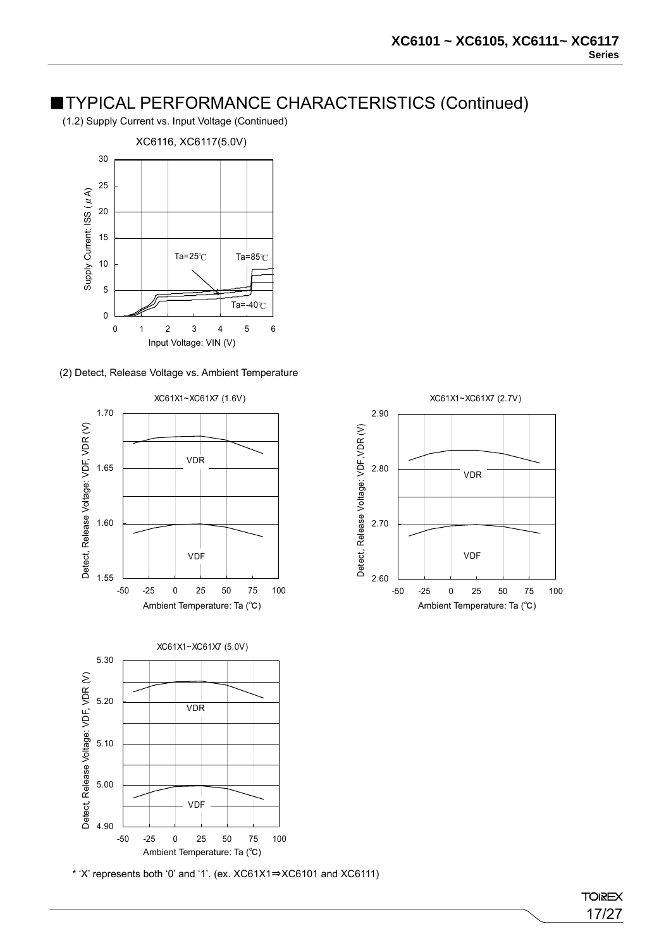2.60

-50 -25 0 25 50 75 100

VDF

XC61X1~XC61X7 (2.7V)

VDR

2.70

Detect, Release Voltage: VDF,VDR (V)

Detect, Release Voltage: VDF, VDR (V)

2.80

2.90

(1.2) Supply Current vs. Input Voltage (Continued)



#### (2) Detect, Release Voltage vs. Ambient Temperature



\* 'X' represents both '0' and '1'. (ex. XC61X1⇒XC6101 and XC6111)

**TOIREX** 17/27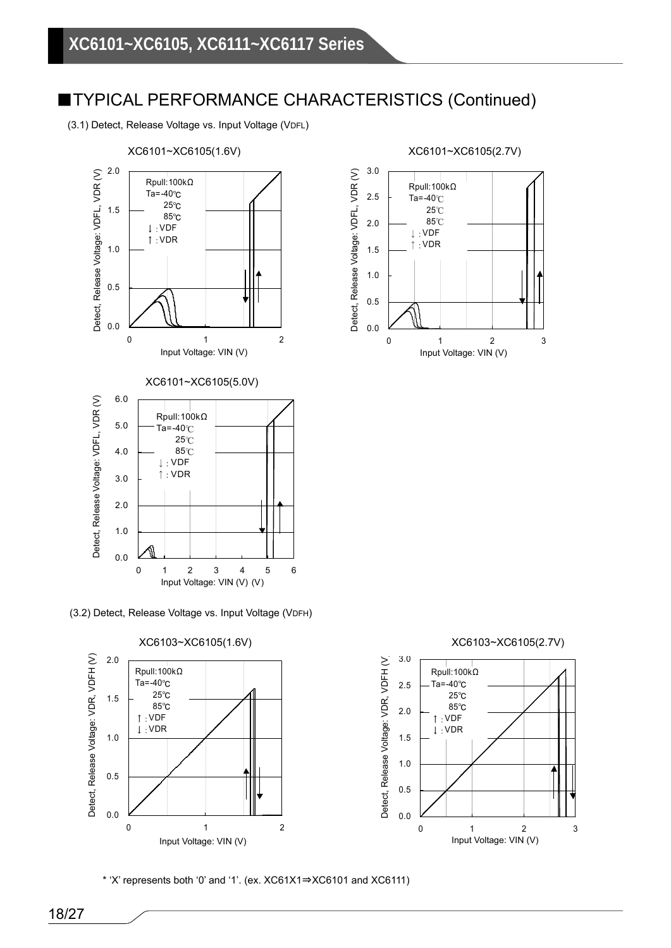(3.1) Detect, Release Voltage vs. Input Voltage (VDFL)



(3.2) Detect, Release Voltage vs. Input Voltage (VDFH)



\* 'X' represents both '0' and '1'. (ex. XC61X1⇒XC6101 and XC6111)

3.0 Detect, Release Voltage: VDFL, VDR (V) Detect, Release Voltage: VDFL, VDR (V) Jetect, Release Voltage: VDFL, VDR ( Rpull:100kΩ 2.5 Ta=-40℃ 25℃ 85℃ 2.0 ↓:VDF ↑:VDR 1.5 1.0 0.5 0.0 0 1 2 3 Input Voltage: VIN (V) Input Voltage: VIN (V)

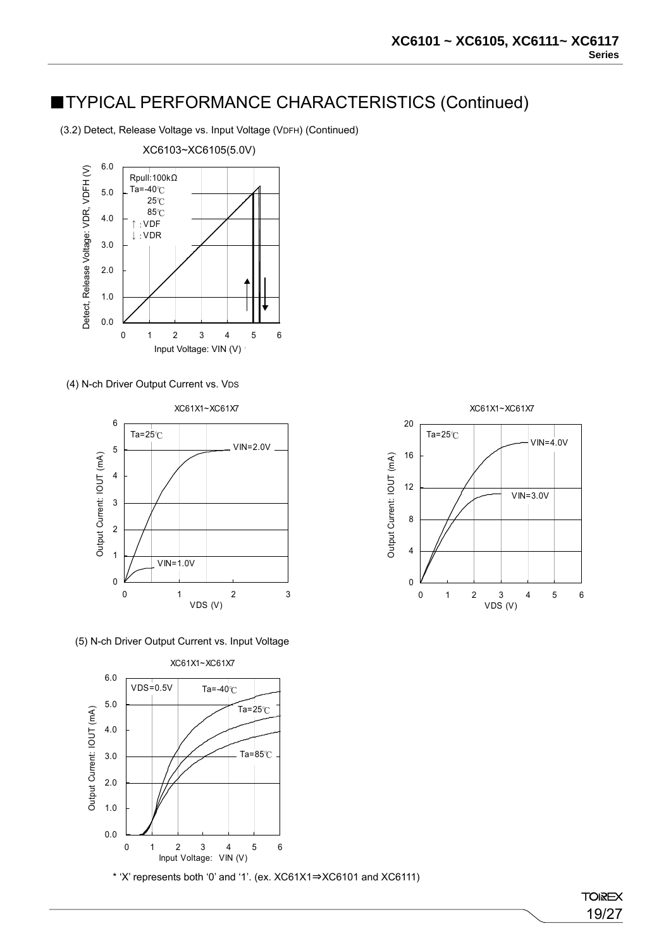(3.2) Detect, Release Voltage vs. Input Voltage (VDFH) (Continued)



(4) N-ch Driver Output Current vs. VDS



(5) N-ch Driver Output Current vs. Input Voltage



\* 'X' represents both '0' and '1'. (ex. XC61X1⇒XC6101 and XC6111)

**TOIREX** 19/27

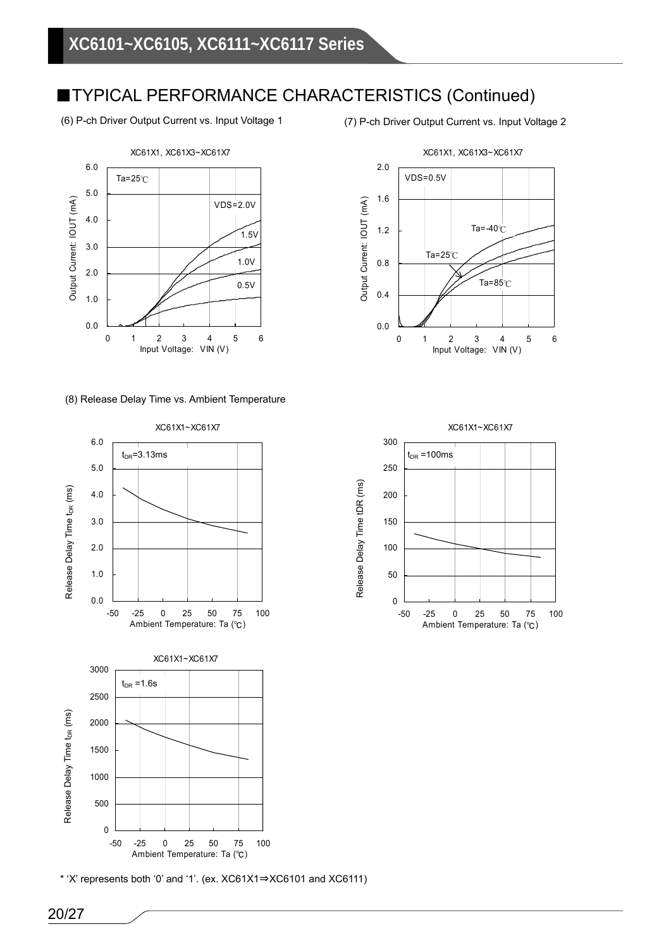(6) P-ch Driver Output Current vs. Input Voltage 1



(8) Release Delay Time vs. Ambient Temperature



\* 'X' represents both '0' and '1'. (ex. XC61X1⇒XC6101 and XC6111)

(7) P-ch Driver Output Current vs. Input Voltage 2



 $\overline{0}$ 50 100 150 200 250 300 -50 -25 0 25 50 75 100 Ambient Temperature: Ta (℃) XC61X1~XC61X7  $t_{DR}$ =100ms

Release Delay Time tDR (ms)

Release Delay Time tDR (ms)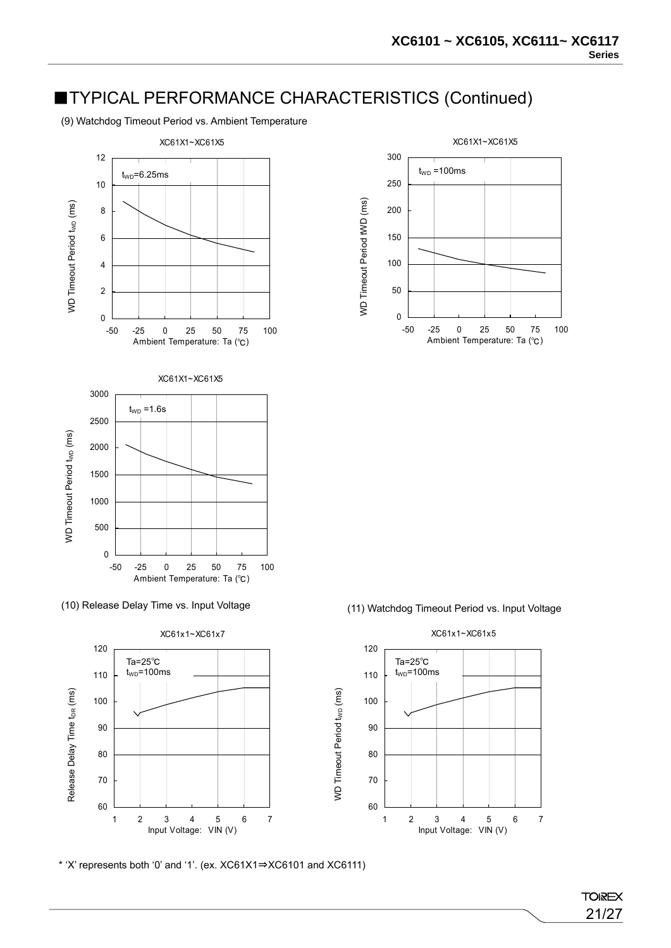(9) Watchdog Timeout Period vs. Ambient Temperature





\* 'X' represents both '0' and '1'. (ex. XC61X1⇒XC6101 and XC6111)





**TOIREX** 21/27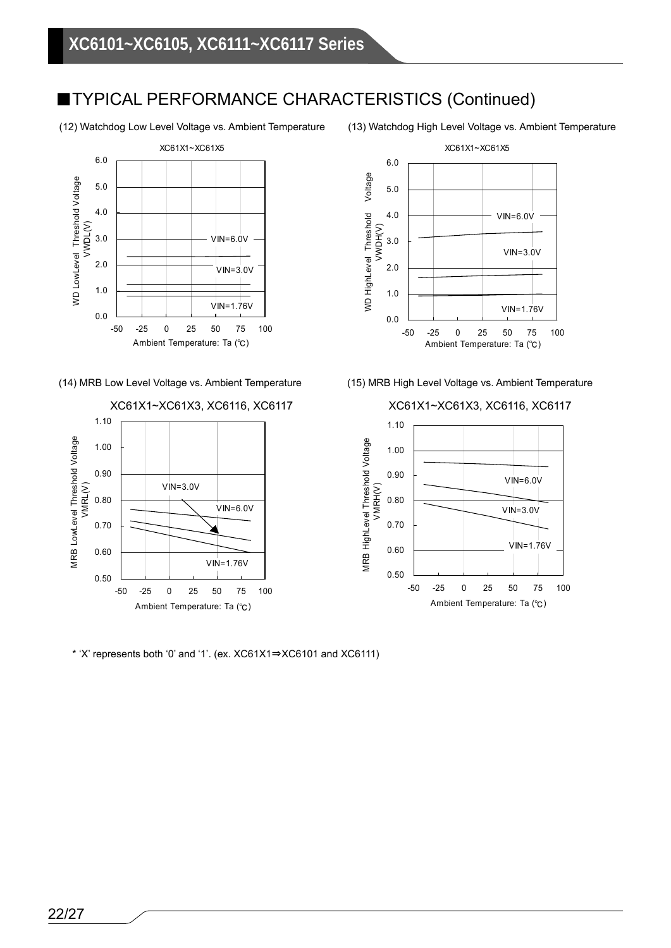



\* 'X' represents both '0' and '1'. (ex. XC61X1⇒XC6101 and XC6111)







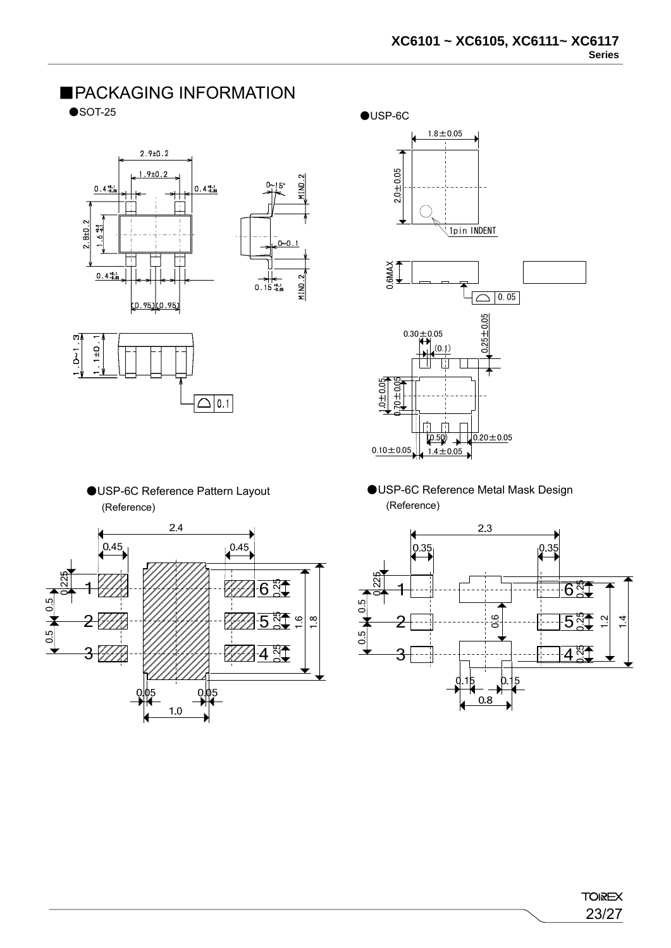





(Reference) (Reference)





- (0.50) 1.4±0.05  $\sqrt{0.20 \pm 0.05}$  $0.10 \pm 0.05$
- ●USP-6C Reference Pattern Layout ●USP-6C Reference Metal Mask Design



# ■PACKAGING INFORMATION

 $\bullet$  SOT-25  $\bullet$  USP-6C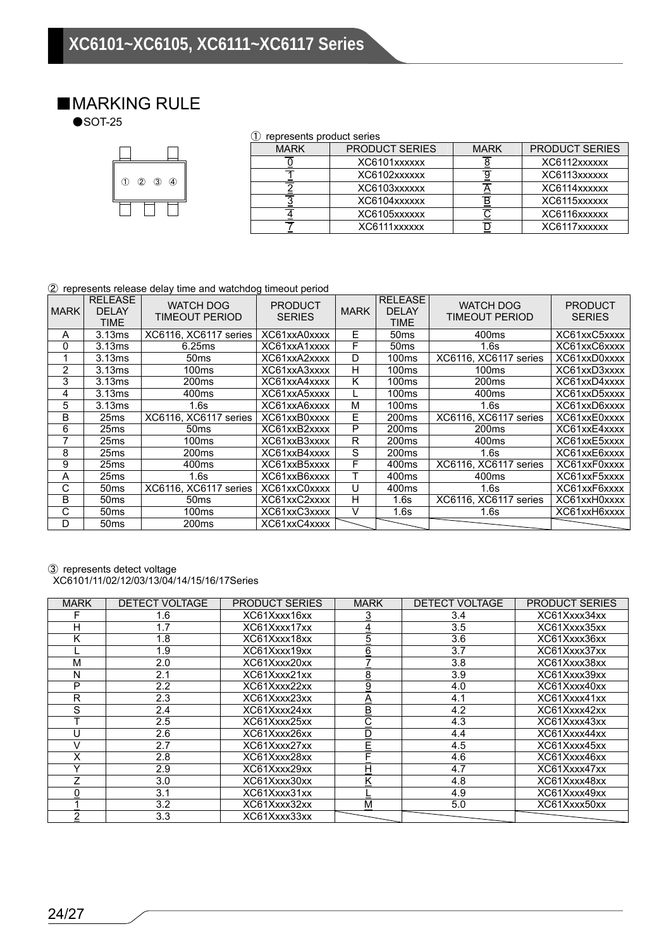# ■MARKING RULE<br>●SOT-25



|  | (1) represents product series |
|--|-------------------------------|
|--|-------------------------------|

| <b>MARK</b> | <b>PRODUCT SERIES</b> | <b>MARK</b> | <b>PRODUCT SERIES</b> |
|-------------|-----------------------|-------------|-----------------------|
|             | XC6101xxxxxx          |             | XC6112xxxxxx          |
|             | XC6102xxxxxx          |             | XC6113xxxxxx          |
|             | XC6103xxxxxx          |             | XC6114xxxxxx          |
|             | XC6104xxxxxx          |             | XC6115xxxxxx          |
|             | XC6105xxxxxx          |             | XC6116xxxxxx          |
|             | XC6111xxxxxx          |             | XC6117xxxxxx          |

#### ② represents release delay time and watchdog timeout period

| <b>MARK</b>    | <b>RELEASE</b><br><b>DELAY</b><br>TIME | <b>WATCH DOG</b><br>TIMEOUT PERIOD | <b>PRODUCT</b><br><b>SERIES</b> | <b>MARK</b> | <b>RELEASE</b><br><b>DELAY</b><br><b>TIME</b> | <b>WATCH DOG</b><br>TIMEOUT PERIOD | <b>PRODUCT</b><br><b>SERIES</b> |
|----------------|----------------------------------------|------------------------------------|---------------------------------|-------------|-----------------------------------------------|------------------------------------|---------------------------------|
| A              | 3.13ms                                 | XC6116, XC6117 series              | XC61xxA0xxxx                    | Е           | 50 <sub>ms</sub>                              | 400ms                              | XC61xxC5xxxx                    |
| 0              | 3.13ms                                 | 6.25ms                             | XC61xxA1xxxx                    | F           | 50 <sub>ms</sub>                              | 1.6s                               | XC61xxC6xxxx                    |
|                | 3.13ms                                 | 50 <sub>ms</sub>                   | XC61xxA2xxxx                    | D           | 100ms                                         | XC6116, XC6117 series              | XC61xxD0xxxx                    |
| $\overline{2}$ | 3.13ms                                 | 100ms                              | XC61xxA3xxxx                    | H           | 100 <sub>ms</sub>                             | 100 <sub>ms</sub>                  | XC61xxD3xxxx                    |
| 3              | 3.13ms                                 | 200 <sub>ms</sub>                  | XC61xxA4xxxx                    | Κ           | 100 <sub>ms</sub>                             | 200 <sub>ms</sub>                  | XC61xxD4xxxx                    |
| 4              | 3.13ms                                 | 400ms                              | XC61xxA5xxxx                    |             | 100ms                                         | 400ms                              | XC61xxD5xxxx                    |
| 5              | 3.13ms                                 | 1.6s                               | XC61xxA6xxxx                    | M           | 100ms                                         | 1.6s                               | XC61xxD6xxxx                    |
| B              | 25 <sub>ms</sub>                       | XC6116, XC6117 series              | XC61xxB0xxxx                    | F           | 200 <sub>ms</sub>                             | XC6116, XC6117 series              | XC61xxE0xxxx                    |
| 6              | 25ms                                   | 50ms                               | XC61xxB2xxxx                    | P           | 200ms                                         | 200 <sub>ms</sub>                  | XC61xxE4xxxx                    |
|                | 25ms                                   | 100ms                              | XC61xxB3xxxx                    | R           | 200 <sub>ms</sub>                             | 400ms                              | XC61xxE5xxxx                    |
| 8              | 25 <sub>ms</sub>                       | 200 <sub>ms</sub>                  | XC61xxB4xxxx                    | S           | 200 <sub>ms</sub>                             | 1.6s                               | XC61xxE6xxxx                    |
| 9              | 25ms                                   | 400ms                              | XC61xxB5xxxx                    | F           | 400ms                                         | XC6116, XC6117 series              | XC61xxF0xxxx                    |
| A              | 25 <sub>ms</sub>                       | 1.6s                               | XC61xxB6xxxx                    |             | 400ms                                         | 400ms                              | XC61xxF5xxxx                    |
| С              | 50 <sub>ms</sub>                       | XC6116, XC6117 series              | XC61xxC0xxxx                    | U           | 400ms                                         | 1.6s                               | XC61xxF6xxxx                    |
| B              | 50ms                                   | 50ms                               | XC61xxC2xxxx                    | н           | 1.6s                                          | XC6116, XC6117 series              | XC61xxH0xxxx                    |
| С              | 50 <sub>ms</sub>                       | 100 <sub>ms</sub>                  | XC61xxC3xxxx                    | v           | 1.6s                                          | 1.6s                               | XC61xxH6xxxx                    |
| D              | 50 <sub>ms</sub>                       | 200 <sub>ms</sub>                  | XC61xxC4xxxx                    |             |                                               |                                    |                                 |

#### ③ represents detect voltage

XC6101/11/02/12/03/13/04/14/15/16/17Series

| <b>MARK</b>    | <b>DETECT VOLTAGE</b> | <b>PRODUCT SERIES</b> | <b>MARK</b> | <b>DETECT VOLTAGE</b> | <b>PRODUCT SERIES</b> |
|----------------|-----------------------|-----------------------|-------------|-----------------------|-----------------------|
|                | 1.6                   | XC61Xxxx16xx          |             | 3.4                   | XC61Xxxx34xx          |
| н              | 1.7                   | XC61Xxxx17xx          |             | 3.5                   | XC61Xxxx35xx          |
| κ              | 1.8                   | XC61Xxxx18xx          | 5           | 3.6                   | XC61Xxxx36xx          |
|                | 1.9                   | XC61Xxxx19xx          | 6           | 3.7                   | XC61Xxxx37xx          |
| M              | 2.0                   | XC61Xxxx20xx          |             | 3.8                   | XC61Xxxx38xx          |
| N              | 2.1                   | XC61Xxxx21xx          | <u>8</u>    | 3.9                   | XC61Xxxx39xx          |
| P              | 2.2                   | XC61Xxxx22xx          | 9           | 4.0                   | XC61Xxxx40xx          |
| R              | 2.3                   | XC61Xxxx23xx          | Α           | 4.1                   | XC61Xxxx41xx          |
| S              | 2.4                   | XC61Xxxx24xx          | <u>B</u>    | 4.2                   | XC61Xxxx42xx          |
|                | 2.5                   | XC61Xxxx25xx          | С           | 4.3                   | XC61Xxxx43xx          |
| U              | 2.6                   | XC61Xxxx26xx          | D           | 4.4                   | XC61Xxxx44xx          |
|                | 2.7                   | XC61Xxxx27xx          | E           | 4.5                   | XC61Xxxx45xx          |
| X              | 2.8                   | XC61Xxxx28xx          |             | 4.6                   | XC61Xxxx46xx          |
|                | 2.9                   | XC61Xxxx29xx          | Н           | 4.7                   | XC61Xxxx47xx          |
| $\overline{ }$ | 3.0                   | XC61Xxxx30xx          |             | 4.8                   | XC61Xxxx48xx          |
|                | 3.1                   | XC61Xxxx31xx          |             | 4.9                   | XC61Xxxx49xx          |
|                | 3.2                   | XC61Xxxx32xx          | М           | 5.0                   | XC61Xxxx50xx          |
| ◠              | 3.3                   | XC61Xxxx33xx          |             |                       |                       |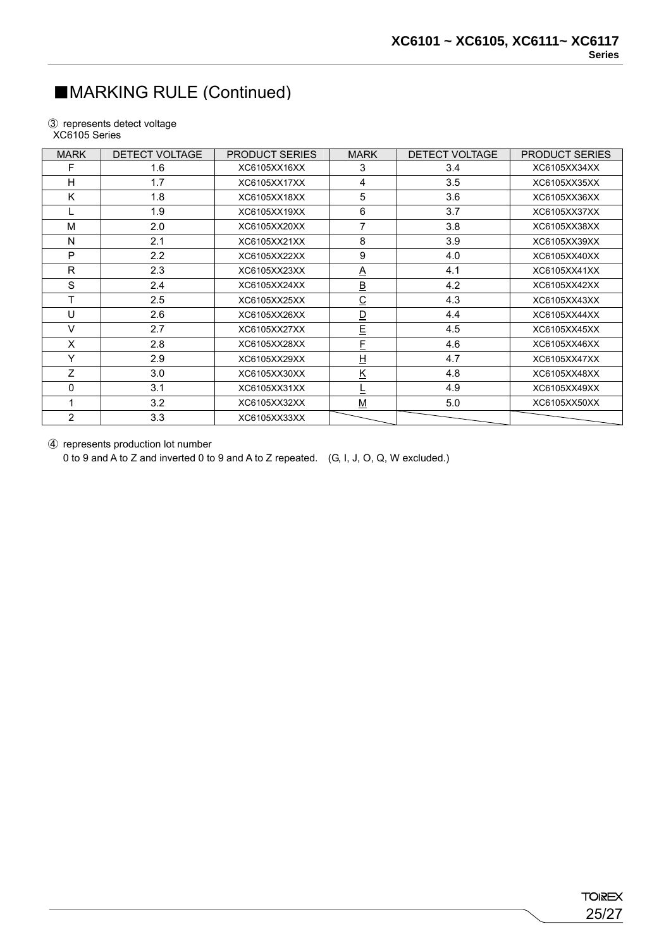### ■MARKING RULE (Continued)

③ represents detect voltage XC6105 Series

| <b>MARK</b>    | <b>DETECT VOLTAGE</b> | <b>PRODUCT SERIES</b> | <b>MARK</b>              | <b>DETECT VOLTAGE</b> | <b>PRODUCT SERIES</b> |
|----------------|-----------------------|-----------------------|--------------------------|-----------------------|-----------------------|
| F              | 1.6                   | XC6105XX16XX          | 3                        | 3.4                   | XC6105XX34XX          |
| н              | 1.7                   | XC6105XX17XX          | 4                        | 3.5                   | XC6105XX35XX          |
| Κ              | 1.8                   | XC6105XX18XX          | 5                        | 3.6                   | XC6105XX36XX          |
|                | 1.9                   | XC6105XX19XX          | 6                        | 3.7                   | XC6105XX37XX          |
| M              | 2.0                   | XC6105XX20XX          | 7                        | 3.8                   | XC6105XX38XX          |
| N              | 2.1                   | XC6105XX21XX          | 8                        | 3.9                   | XC6105XX39XX          |
| P              | 2.2                   | XC6105XX22XX          | 9                        | 4.0                   | XC6105XX40XX          |
| R              | 2.3                   | XC6105XX23XX          | <u>A</u>                 | 4.1                   | XC6105XX41XX          |
| S              | 2.4                   | XC6105XX24XX          | $\underline{\mathsf{B}}$ | 4.2                   | XC6105XX42XX          |
| т              | 2.5                   | XC6105XX25XX          | $\overline{C}$           | 4.3                   | XC6105XX43XX          |
| U              | 2.6                   | XC6105XX26XX          | $\overline{\mathsf{D}}$  | 4.4                   | XC6105XX44XX          |
| $\vee$         | 2.7                   | XC6105XX27XX          | E                        | 4.5                   | XC6105XX45XX          |
| X              | 2.8                   | XC6105XX28XX          | E                        | 4.6                   | XC6105XX46XX          |
| Υ              | 2.9                   | XC6105XX29XX          | H                        | 4.7                   | XC6105XX47XX          |
| Z              | 3.0                   | XC6105XX30XX          | Κ                        | 4.8                   | XC6105XX48XX          |
| $\Omega$       | 3.1                   | XC6105XX31XX          |                          | 4.9                   | XC6105XX49XX          |
|                | 3.2                   | XC6105XX32XX          | $\underline{\mathsf{M}}$ | 5.0                   | XC6105XX50XX          |
| $\overline{2}$ | 3.3                   | XC6105XX33XX          |                          |                       |                       |

④ represents production lot number

0 to 9 and A to Z and inverted 0 to 9 and A to Z repeated. (G, I, J, O, Q, W excluded.)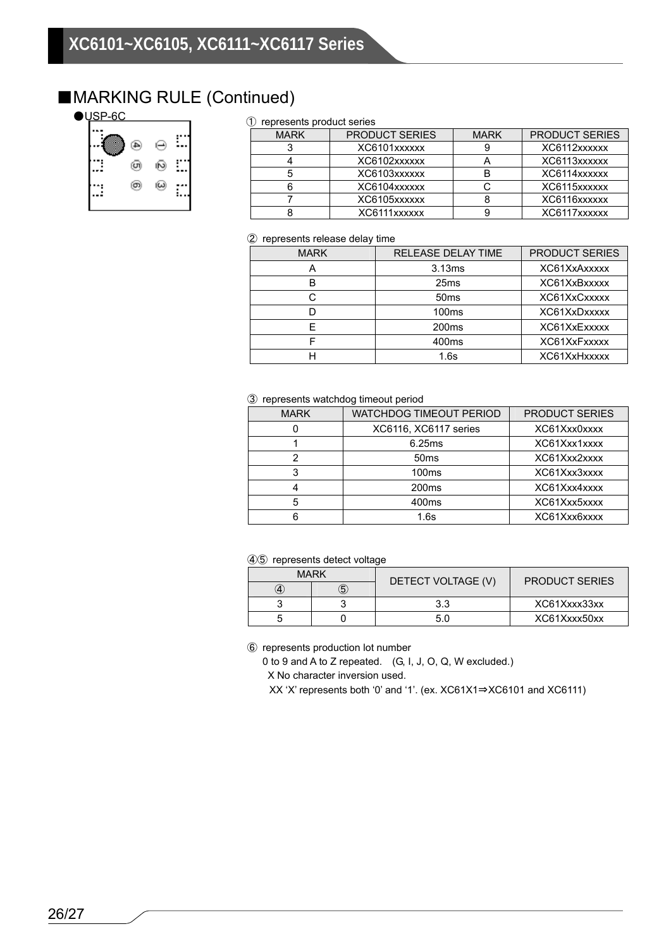### ■MARKING RULE (Continued)

| ⊛ | 闷 |  |
|---|---|--|
| ൈ | ☺ |  |

### ① represents product series

| <u>roproocino produot oorioo</u> |                       |  |                       |  |  |
|----------------------------------|-----------------------|--|-----------------------|--|--|
| <b>MARK</b>                      | <b>PRODUCT SERIES</b> |  | <b>PRODUCT SERIES</b> |  |  |
|                                  | XC6101xxxxxx          |  | XC6112xxxxxx          |  |  |
|                                  | XC6102xxxxxx          |  | XC6113xxxxxx          |  |  |
|                                  | XC6103xxxxxx          |  | XC6114xxxxxx          |  |  |
|                                  | XC6104xxxxxx          |  | XC6115xxxxxx          |  |  |
|                                  | XC6105xxxxxx          |  | XC6116xxxxxx          |  |  |
|                                  | XC6111xxxxxx          |  | XC6117xxxxxx          |  |  |

#### ② represents release delay time

| <b>MARK</b> | <b>RELEASE DELAY TIME</b> | <b>PRODUCT SERIES</b> |
|-------------|---------------------------|-----------------------|
|             | 3.13ms                    | XC61XxAxxxxx          |
|             | 25 <sub>ms</sub>          | XC61XxBxxxxx          |
|             | 50ms                      | XC61XxCxxxxx          |
|             | 100 <sub>ms</sub>         | XC61XxDxxxxx          |
|             | 200 <sub>ms</sub>         | XC61XxExxxxx          |
|             | 400ms                     | XC61XxFxxxxx          |
|             | 1.6s                      | XC61XxHxxxxx          |

#### ③ represents watchdog timeout period

| <b>MARK</b> | <b>WATCHDOG TIMEOUT PERIOD</b> | PRODUCT SERIES |
|-------------|--------------------------------|----------------|
|             | XC6116, XC6117 series          | XC61Xxx0xxxx   |
|             | 6.25ms                         | XC61Xxx1xxxx   |
|             | 50ms                           | XC61Xxx2xxxx   |
|             | 100 <sub>ms</sub>              | XC61Xxx3xxxx   |
|             | 200 <sub>ms</sub>              | XC61Xxx4xxxx   |
| 5           | 400ms                          | XC61Xxx5xxxx   |
|             | 1.6s                           | XC61Xxx6xxxx   |

### ④⑤ represents detect voltage

| <b>MARK</b> |  | DETECT VOLTAGE (V) | <b>PRODUCT SERIES</b> |  |
|-------------|--|--------------------|-----------------------|--|
|             |  |                    |                       |  |
|             |  | 3.3                | XC61Xxxx33xx          |  |
|             |  |                    | XC61Xxxx50xx          |  |

⑥ represents production lot number

0 to 9 and A to Z repeated. (G, I, J, O, Q, W excluded.)

X No character inversion used.

XX 'X' represents both '0' and '1'. (ex. XC61X1⇒XC6101 and XC6111)